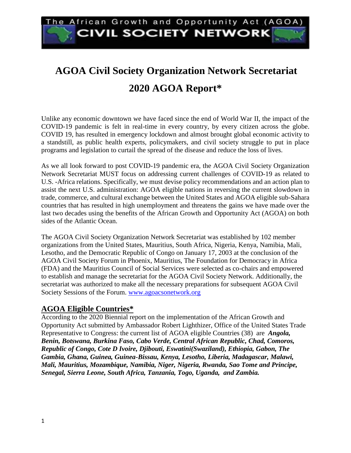

# **AGOA Civil Society Organization Network Secretariat 2020 AGOA Report\***

Unlike any economic downtown we have faced since the end of World War II, the impact of the COVID-19 pandemic is felt in real-time in every country, by every citizen across the globe. COVID 19, has resulted in emergency lockdown and almost brought global economic activity to a standstill, as public health experts, policymakers, and civil society struggle to put in place programs and legislation to curtail the spread of the disease and reduce the loss of lives.

As we all look forward to post COVID-19 pandemic era, the AGOA Civil Society Organization Network Secretariat MUST focus on addressing current challenges of COVID-19 as related to U.S. -Africa relations. Specifically, we must devise policy recommendations and an action plan to assist the next U.S. administration: AGOA eligible nations in reversing the current slowdown in trade, commerce, and cultural exchange between the United States and AGOA eligible sub-Sahara countries that has resulted in high unemployment and threatens the gains we have made over the last two decades using the benefits of the African Growth and Opportunity Act (AGOA) on both sides of the Atlantic Ocean.

The AGOA Civil Society Organization Network Secretariat was established by 102 member organizations from the United States, Mauritius, South Africa, Nigeria, Kenya, Namibia, Mali, Lesotho, and the Democratic Republic of Congo on January 17, 2003 at the conclusion of the AGOA Civil Society Forum in Phoenix, Mauritius, The Foundation for Democracy in Africa (FDA) and the Mauritius Council of Social Services were selected as co-chairs and empowered to establish and manage the secretariat for the AGOA Civil Society Network. Additionally, the secretariat was authorized to make all the necessary preparations for subsequent AGOA Civil Society Sessions of the Forum. [www.agoacsonetwork.org](http://www.agoacsonetwork.org/)

# **AGOA Eligible Countries\***

According to the 2020 Biennial report on the implementation of the African Growth and Opportunity Act submitted by Ambassador Robert Lighthizer, Office of the United States Trade Representative to Congress: the current list of AGOA eligible Countries (38) are *Angola, Benin, Botswana, Burkina Faso, Cabo Verde, Central African Republic, Chad, Comoros, Republic of Congo, Cote D Ivoire, Djibouti, Eswatini(Swaziland), Ethiopia, Gabon, The Gambia, Ghana, Guinea, Guinea-Bissau, Kenya, Lesotho, Liberia, Madagascar, Malawi, Mali, Mauritius, Mozambique, Namibia, Niger, Nigeria, Rwanda, Sao Tome and Principe, Senegal, Sierra Leone, South Africa, Tanzania, Togo, Uganda, and Zambia.*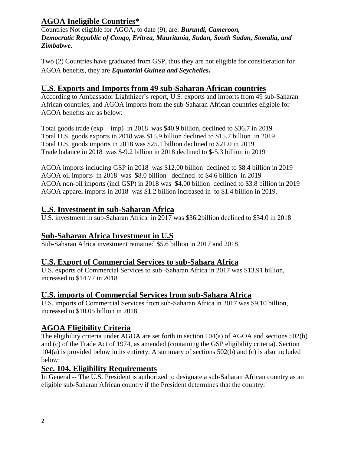# **AGOA Ineligible Countries\***

Countries Not eligible for AGOA, to date (9), are: *Burundi, Cameroon, Democratic Republic of Congo, Eritrea, Mauritania, Sudan, South Sudan, Somalia, and Zimbabwe.*

Two (2) Countries have graduated from GSP, thus they are not eligible for consideration for AGOA benefits, they are *Equatorial Guinea and Seychelles.* 

#### **U.S. Exports and Imports from 49 sub-Saharan African countries**

According to Ambassador Lighthizer's report, U.S. exports and imports from 49 sub-Saharan African countries, and AGOA imports from the sub-Saharan African countries eligible for AGOA benefits are as below:

Total goods trade  $(exp + imp)$  in 2018 was \$40.9 billion, declined to \$36.7 in 2019 Total U.S. goods exports in 2018 was \$15.9 billion declined to \$15.7 billion in 2019 Total U.S. goods imports in 2018 was \$25.1 billion declined to \$21.0 in 2019 Trade balance in 2018 was \$-9.2 billion in 2018 declined to \$-5.3 billion in 2019

AGOA imports including GSP in 2018 was \$12.00 billion declined to \$8.4 billion in 2019 AGOA oil imports in 2018 was \$8.0 billion declined to \$4.6 billion in 2019 AGOA non-oil imports (incl GSP) in 2018 was \$4.00 billion declined to \$3.8 billion in 2019 AGOA apparel imports in 2018 was \$1.2 billion increased in to \$1.4 billion in 2019.

## **U.S. Investment in sub-Saharan Africa**

U.S. investment in sub-Saharan Africa in 2017 was \$36.2billion declined to \$34.0 in 2018

## **Sub-Saharan Africa Investment in U.S**

Sub-Saharan Africa investment remained \$5.6 billion in 2017 and 2018

## **U.S. Export of Commercial Services to sub-Sahara Africa**

U.S. exports of Commercial Services to sub -Saharan Africa in 2017 was \$13.91 billion, increased to \$14.77 in 2018

#### **U.S. imports of Commercial Services from sub-Sahara Africa**

U.S. imports of Commercial Services from sub-Saharan Africa in 2017 was \$9.10 billion, increased to \$10.05 billion in 2018

## **AGOA Eligibility Criteria**

The eligibility criteria under AGOA are set forth in section 104(a) of AGOA and sections 502(b) and (c) of the Trade Act of 1974, as amended (containing the GSP eligibility criteria). Section 104(a) is provided below in its entirety. A summary of sections 502(b) and (c) is also included below:

#### **Sec. 104. Eligibility Requirements**

In General -- The U.S. President is authorized to designate a sub-Saharan African country as an eligible sub-Saharan African country if the President determines that the country: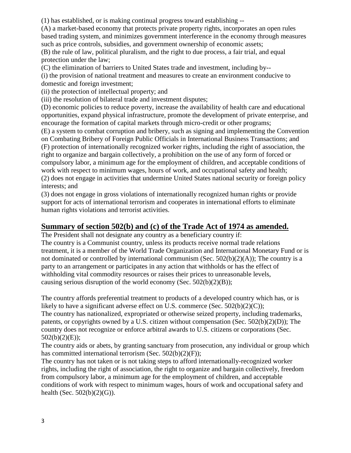(1) has established, or is making continual progress toward establishing --

(A) a market-based economy that protects private property rights, incorporates an open rules based trading system, and minimizes government interference in the economy through measures such as price controls, subsidies, and government ownership of economic assets; (B) the rule of law, political pluralism, and the right to due process, a fair trial, and equal protection under the law;

(C) the elimination of barriers to United States trade and investment, including by--

(i) the provision of national treatment and measures to create an environment conducive to domestic and foreign investment;

(ii) the protection of intellectual property; and

(iii) the resolution of bilateral trade and investment disputes;

(D) economic policies to reduce poverty, increase the availability of health care and educational opportunities, expand physical infrastructure, promote the development of private enterprise, and encourage the formation of capital markets through micro-credit or other programs;

(E) a system to combat corruption and bribery, such as signing and implementing the Convention on Combating Bribery of Foreign Public Officials in International Business Transactions; and

(F) protection of internationally recognized worker rights, including the right of association, the right to organize and bargain collectively, a prohibition on the use of any form of forced or compulsory labor, a minimum age for the employment of children, and acceptable conditions of work with respect to minimum wages, hours of work, and occupational safety and health; (2) does not engage in activities that undermine United States national security or foreign policy interests; and

(3) does not engage in gross violations of internationally recognized human rights or provide support for acts of international terrorism and cooperates in international efforts to eliminate human rights violations and terrorist activities.

#### **Summary of section 502(b) and (c) of the Trade Act of 1974 as amended.**

The President shall not designate any country as a beneficiary country if: The country is a Communist country, unless its products receive normal trade relations treatment, it is a member of the World Trade Organization and International Monetary Fund or is not dominated or controlled by international communism (Sec.  $502(b)(2)(A)$ ); The country is a party to an arrangement or participates in any action that withholds or has the effect of withholding vital commodity resources or raises their prices to unreasonable levels, causing serious disruption of the world economy (Sec.  $502(b)(2)(B)$ );

The country affords preferential treatment to products of a developed country which has, or is likely to have a significant adverse effect on U.S. commerce (Sec.  $502(b)(2)(C)$ );

The country has nationalized, expropriated or otherwise seized property, including trademarks, patents, or copyrights owned by a U.S. citizen without compensation (Sec.  $502(b)(2)(D)$ ); The country does not recognize or enforce arbitral awards to U.S. citizens or corporations (Sec.  $502(b)(2)(E)$ ;

The country aids or abets, by granting sanctuary from prosecution, any individual or group which has committed international terrorism (Sec. 502(b)(2)(F));

The country has not taken or is not taking steps to afford internationally-recognized worker rights, including the right of association, the right to organize and bargain collectively, freedom from compulsory labor, a minimum age for the employment of children, and acceptable conditions of work with respect to minimum wages, hours of work and occupational safety and health (Sec.  $502(b)(2)(G)$ ).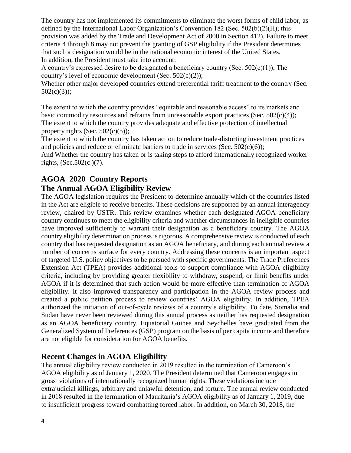The country has not implemented its commitments to eliminate the worst forms of child labor, as defined by the International Labor Organization's Convention 182 (Sec. 502(b)(2)(H); this provision was added by the Trade and Development Act of 2000 in Section 412). Failure to meet criteria 4 through 8 may not prevent the granting of GSP eligibility if the President determines that such a designation would be in the national economic interest of the United States. In addition, the President must take into account:

A country's expressed desire to be designated a beneficiary country (Sec.  $502(c)(1)$ ); The country's level of economic development (Sec. 502(c)(2));

Whether other major developed countries extend preferential tariff treatment to the country (Sec.  $502(c)(3)$ ;

The extent to which the country provides "equitable and reasonable access" to its markets and basic commodity resources and refrains from unreasonable export practices (Sec.  $502(c)(4)$ ); The extent to which the country provides adequate and effective protection of intellectual property rights (Sec.  $502(c)(5)$ );

The extent to which the country has taken action to reduce trade-distorting investment practices and policies and reduce or eliminate barriers to trade in services (Sec.  $502(c)(6)$ );

And Whether the country has taken or is taking steps to afford internationally recognized worker rights, (Sec.502(c )(7).

# **AGOA 2020 Country Reports**

#### **The Annual AGOA Eligibility Review**

The AGOA legislation requires the President to determine annually which of the countries listed in the Act are eligible to receive benefits. These decisions are supported by an annual interagency review, chaired by USTR. This review examines whether each designated AGOA beneficiary country continues to meet the eligibility criteria and whether circumstances in ineligible countries have improved sufficiently to warrant their designation as a beneficiary country. The AGOA country eligibility determination process is rigorous. A comprehensive review is conducted of each country that has requested designation as an AGOA beneficiary, and during each annual review a number of concerns surface for every country. Addressing these concerns is an important aspect of targeted U.S. policy objectives to be pursued with specific governments. The Trade Preferences Extension Act (TPEA) provides additional tools to support compliance with AGOA eligibility criteria, including by providing greater flexibility to withdraw, suspend, or limit benefits under AGOA if it is determined that such action would be more effective than termination of AGOA eligibility. It also improved transparency and participation in the AGOA review process and created a public petition process to review countries' AGOA eligibility. In addition, TPEA authorized the initiation of out-of-cycle reviews of a country's eligibility. To date, Somalia and Sudan have never been reviewed during this annual process as neither has requested designation as an AGOA beneficiary country. Equatorial Guinea and Seychelles have graduated from the Generalized System of Preferences (GSP) program on the basis of per capita income and therefore are not eligible for consideration for AGOA benefits.

## **Recent Changes in AGOA Eligibility**

The annual eligibility review conducted in 2019 resulted in the termination of Cameroon's AGOA eligibility as of January 1, 2020. The President determined that Cameroon engages in gross violations of internationally recognized human rights. These violations include extrajudicial killings, arbitrary and unlawful detention, and torture. The annual review conducted in 2018 resulted in the termination of Mauritania's AGOA eligibility as of January 1, 2019, due to insufficient progress toward combatting forced labor. In addition, on March 30, 2018, the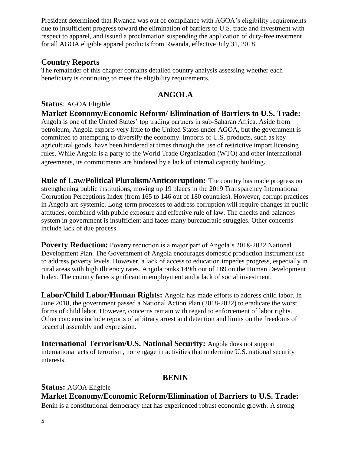President determined that Rwanda was out of compliance with AGOA's eligibility requirements due to insufficient progress toward the elimination of barriers to U.S. trade and investment with respect to apparel, and issued a proclamation suspending the application of duty-free treatment for all AGOA eligible apparel products from Rwanda, effective July 31, 2018.

## **Country Reports**

The remainder of this chapter contains detailed country analysis assessing whether each beneficiary is continuing to meet the eligibility requirements.

# **ANGOLA**

#### **Status**: AGOA Eligible

**Market Economy/Economic Reform/ Elimination of Barriers to U.S. Trade:**  Angola is one of the United States' top trading partners in sub-Saharan Africa. Aside from petroleum, Angola exports very little to the United States under AGOA, but the government is committed to attempting to diversify the economy. Imports of U.S. products, such as key agricultural goods, have been hindered at times through the use of restrictive import licensing rules. While Angola is a party to the World Trade Organization (WTO) and other international agreements, its commitments are hindered by a lack of internal capacity building.

**Rule of Law/Political Pluralism/Anticorruption:** The country has made progress on strengthening public institutions, moving up 19 places in the 2019 Transparency International Corruption Perceptions Index (from 165 to 146 out of 180 countries). However, corrupt practices in Angola are systemic. Long-term processes to address corruption will require changes in public attitudes, combined with public exposure and effective rule of law. The checks and balances system in government is insufficient and faces many bureaucratic struggles. Other concerns include lack of due process.

**Poverty Reduction:** Poverty reduction is a major part of Angola's 2018-2022 National Development Plan. The Government of Angola encourages domestic production instrument use to address poverty levels. However, a lack of access to education impedes progress, especially in rural areas with high illiteracy rates. Angola ranks 149th out of 189 on the Human Development Index. The country faces significant unemployment and a lack of social investment.

**Labor/Child Labor/Human Rights:** Angola has made efforts to address child labor. In June 2018, the government passed a National Action Plan (2018-2022) to eradicate the worst forms of child labor. However, concerns remain with regard to enforcement of labor rights. Other concerns include reports of arbitrary arrest and detention and limits on the freedoms of peaceful assembly and expression.

**International Terrorism/U.S. National Security:** Angola does not support international acts of terrorism, nor engage in activities that undermine U.S. national security interests.

## **BENIN**

**Status:** AGOA Eligible

**Market Economy/Economic Reform/Elimination of Barriers to U.S. Trade:**  Benin is a constitutional democracy that has experienced robust economic growth. A strong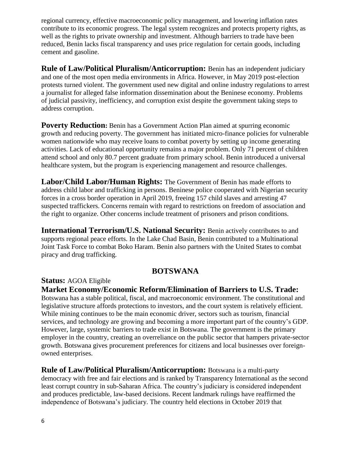regional currency, effective macroeconomic policy management, and lowering inflation rates contribute to its economic progress. The legal system recognizes and protects property rights, as well as the rights to private ownership and investment. Although barriers to trade have been reduced, Benin lacks fiscal transparency and uses price regulation for certain goods, including cement and gasoline.

**Rule of Law/Political Pluralism/Anticorruption:** Benin has an independent judiciary and one of the most open media environments in Africa. However, in May 2019 post-election protests turned violent. The government used new digital and online industry regulations to arrest a journalist for alleged false information dissemination about the Beninese economy. Problems of judicial passivity, inefficiency, and corruption exist despite the government taking steps to address corruption.

**Poverty Reduction:** Benin has a Government Action Plan aimed at spurring economic growth and reducing poverty. The government has initiated micro-finance policies for vulnerable women nationwide who may receive loans to combat poverty by setting up income generating activities. Lack of educational opportunity remains a major problem. Only 71 percent of children attend school and only 80.7 percent graduate from primary school. Benin introduced a universal healthcare system, but the program is experiencing management and resource challenges.

**Labor/Child Labor/Human Rights:** The Government of Benin has made efforts to address child labor and trafficking in persons. Beninese police cooperated with Nigerian security forces in a cross border operation in April 2019, freeing 157 child slaves and arresting 47 suspected traffickers. Concerns remain with regard to restrictions on freedom of association and the right to organize. Other concerns include treatment of prisoners and prison conditions.

**International Terrorism/U.S. National Security:** Benin actively contributes to and supports regional peace efforts. In the Lake Chad Basin, Benin contributed to a Multinational Joint Task Force to combat Boko Haram. Benin also partners with the United States to combat piracy and drug trafficking.

#### **BOTSWANA**

#### **Status:** AGOA Eligible

#### **Market Economy/Economic Reform/Elimination of Barriers to U.S. Trade:**

Botswana has a stable political, fiscal, and macroeconomic environment. The constitutional and legislative structure affords protections to investors, and the court system is relatively efficient. While mining continues to be the main economic driver, sectors such as tourism, financial services, and technology are growing and becoming a more important part of the country's GDP. However, large, systemic barriers to trade exist in Botswana. The government is the primary employer in the country, creating an overreliance on the public sector that hampers private-sector growth. Botswana gives procurement preferences for citizens and local businesses over foreignowned enterprises.

**Rule of Law/Political Pluralism/Anticorruption:** Botswana is a multi-party democracy with free and fair elections and is ranked by Transparency International as the second least corrupt country in sub-Saharan Africa. The country's judiciary is considered independent and produces predictable, law-based decisions. Recent landmark rulings have reaffirmed the independence of Botswana's judiciary. The country held elections in October 2019 that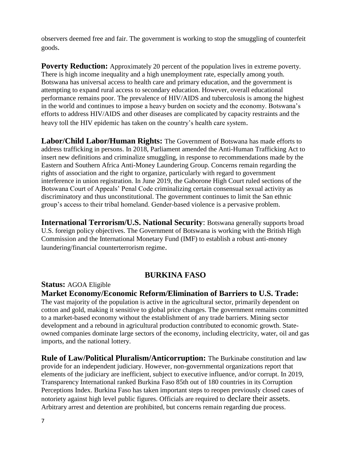observers deemed free and fair. The government is working to stop the smuggling of counterfeit goods.

**Poverty Reduction:** Approximately 20 percent of the population lives in extreme poverty. There is high income inequality and a high unemployment rate, especially among youth. Botswana has universal access to health care and primary education, and the government is attempting to expand rural access to secondary education. However, overall educational performance remains poor. The prevalence of HIV/AIDS and tuberculosis is among the highest in the world and continues to impose a heavy burden on society and the economy. Botswana's efforts to address HIV/AIDS and other diseases are complicated by capacity restraints and the heavy toll the HIV epidemic has taken on the country's health care system.

**Labor/Child Labor/Human Rights:** The Government of Botswana has made efforts to address trafficking in persons. In 2018, Parliament amended the Anti-Human Trafficking Act to insert new definitions and criminalize smuggling, in response to recommendations made by the Eastern and Southern Africa Anti-Money Laundering Group. Concerns remain regarding the rights of association and the right to organize, particularly with regard to government interference in union registration. In June 2019, the Gaborone High Court ruled sections of the Botswana Court of Appeals' Penal Code criminalizing certain consensual sexual activity as discriminatory and thus unconstitutional. The government continues to limit the San ethnic group's access to their tribal homeland. Gender-based violence is a pervasive problem.

**International Terrorism/U.S. National Security**: Botswana generally supports broad U.S. foreign policy objectives. The Government of Botswana is working with the British High Commission and the International Monetary Fund (IMF) to establish a robust anti-money laundering/financial counterterrorism regime.

## **BURKINA FASO**

#### **Status:** AGOA Eligible

**Market Economy/Economic Reform/Elimination of Barriers to U.S. Trade:**  The vast majority of the population is active in the agricultural sector, primarily dependent on cotton and gold, making it sensitive to global price changes. The government remains committed to a market-based economy without the establishment of any trade barriers. Mining sector development and a rebound in agricultural production contributed to economic growth. Stateowned companies dominate large sectors of the economy, including electricity, water, oil and gas imports, and the national lottery.

**Rule of Law/Political Pluralism/Anticorruption:** The Burkinabe constitution and law provide for an independent judiciary. However, non-governmental organizations report that elements of the judiciary are inefficient, subject to executive influence, and/or corrupt. In 2019, Transparency International ranked Burkina Faso 85th out of 180 countries in its Corruption Perceptions Index. Burkina Faso has taken important steps to reopen previously closed cases of notoriety against high level public figures. Officials are required to declare their assets. Arbitrary arrest and detention are prohibited, but concerns remain regarding due process.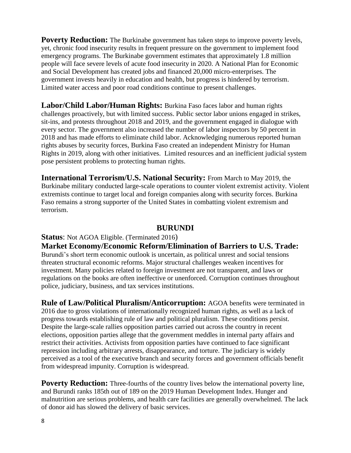**Poverty Reduction:** The Burkinabe government has taken steps to improve poverty levels, yet, chronic food insecurity results in frequent pressure on the government to implement food emergency programs. The Burkinabe government estimates that approximately 1.8 million people will face severe levels of acute food insecurity in 2020. A National Plan for Economic and Social Development has created jobs and financed 20,000 micro-enterprises. The government invests heavily in education and health, but progress is hindered by terrorism. Limited water access and poor road conditions continue to present challenges.

**Labor/Child Labor/Human Rights:** Burkina Faso faces labor and human rights challenges proactively, but with limited success. Public sector labor unions engaged in strikes, sit-ins, and protests throughout 2018 and 2019, and the government engaged in dialogue with every sector. The government also increased the number of labor inspectors by 50 percent in 2018 and has made efforts to eliminate child labor. Acknowledging numerous reported human rights abuses by security forces, Burkina Faso created an independent Ministry for Human Rights in 2019, along with other initiatives. Limited resources and an inefficient judicial system pose persistent problems to protecting human rights.

**International Terrorism/U.S. National Security:** From March to May 2019, the Burkinabe military conducted large-scale operations to counter violent extremist activity. Violent extremists continue to target local and foreign companies along with security forces. Burkina Faso remains a strong supporter of the United States in combatting violent extremism and terrorism.

#### **BURUNDI**

#### **Status**: Not AGOA Eligible. (Terminated 2016)

**Market Economy/Economic Reform/Elimination of Barriers to U.S. Trade:**  Burundi's short term economic outlook is uncertain, as political unrest and social tensions threaten structural economic reforms. Major structural challenges weaken incentives for investment. Many policies related to foreign investment are not transparent, and laws or regulations on the books are often ineffective or unenforced. Corruption continues throughout police, judiciary, business, and tax services institutions.

**Rule of Law/Political Pluralism/Anticorruption:** AGOA benefits were terminated in 2016 due to gross violations of internationally recognized human rights, as well as a lack of progress towards establishing rule of law and political pluralism. These conditions persist. Despite the large-scale rallies opposition parties carried out across the country in recent elections, opposition parties allege that the government meddles in internal party affairs and restrict their activities. Activists from opposition parties have continued to face significant repression including arbitrary arrests, disappearance, and torture. The judiciary is widely perceived as a tool of the executive branch and security forces and government officials benefit from widespread impunity. Corruption is widespread.

**Poverty Reduction:** Three-fourths of the country lives below the international poverty line, and Burundi ranks 185th out of 189 on the 2019 Human Development Index. Hunger and malnutrition are serious problems, and health care facilities are generally overwhelmed. The lack of donor aid has slowed the delivery of basic services.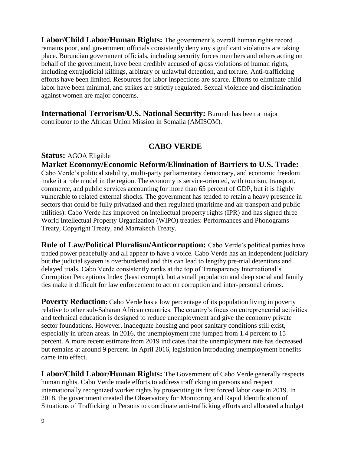**Labor/Child Labor/Human Rights:** The government's overall human rights record remains poor, and government officials consistently deny any significant violations are taking place. Burundian government officials, including security forces members and others acting on behalf of the government, have been credibly accused of gross violations of human rights, including extrajudicial killings, arbitrary or unlawful detention, and torture. Anti-trafficking efforts have been limited. Resources for labor inspections are scarce. Efforts to eliminate child labor have been minimal, and strikes are strictly regulated. Sexual violence and discrimination against women are major concerns.

**International Terrorism/U.S. National Security:** Burundi has been a major contributor to the African Union Mission in Somalia (AMISOM).

#### **CABO VERDE**

**Status:** AGOA Eligible

**Market Economy/Economic Reform/Elimination of Barriers to U.S. Trade:**  Cabo Verde's political stability, multi-party parliamentary democracy, and economic freedom make it a role model in the region. The economy is service-oriented, with tourism, transport, commerce, and public services accounting for more than 65 percent of GDP, but it is highly vulnerable to related external shocks. The government has tended to retain a heavy presence in sectors that could be fully privatized and then regulated (maritime and air transport and public utilities). Cabo Verde has improved on intellectual property rights (IPR) and has signed three World Intellectual Property Organization (WIPO) treaties: Performances and Phonograms Treaty, Copyright Treaty, and Marrakech Treaty.

**Rule of Law/Political Pluralism/Anticorruption:** Cabo Verde's political parties have traded power peacefully and all appear to have a voice. Cabo Verde has an independent judiciary but the judicial system is overburdened and this can lead to lengthy pre-trial detentions and delayed trials. Cabo Verde consistently ranks at the top of Transparency International's Corruption Perceptions Index (least corrupt), but a small population and deep social and family ties make it difficult for law enforcement to act on corruption and inter-personal crimes.

**Poverty Reduction:** Cabo Verde has a low percentage of its population living in poverty relative to other sub-Saharan African countries. The country's focus on entrepreneurial activities and technical education is designed to reduce unemployment and give the economy private sector foundations. However, inadequate housing and poor sanitary conditions still exist, especially in urban areas. In 2016, the unemployment rate jumped from 1.4 percent to 15 percent. A more recent estimate from 2019 indicates that the unemployment rate has decreased but remains at around 9 percent. In April 2016, legislation introducing unemployment benefits came into effect.

**Labor/Child Labor/Human Rights:** The Government of Cabo Verde generally respects human rights. Cabo Verde made efforts to address trafficking in persons and respect internationally recognized worker rights by prosecuting its first forced labor case in 2019. In 2018, the government created the Observatory for Monitoring and Rapid Identification of Situations of Trafficking in Persons to coordinate anti-trafficking efforts and allocated a budget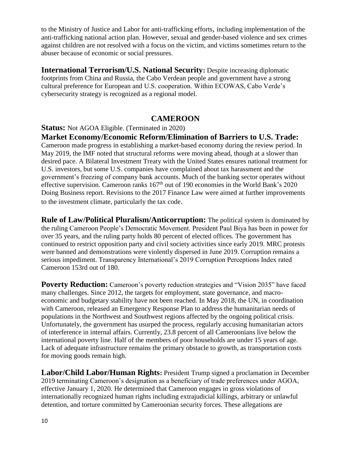to the Ministry of Justice and Labor for anti-trafficking efforts, including implementation of the anti-trafficking national action plan. However, sexual and gender-based violence and sex crimes against children are not resolved with a focus on the victim, and victims sometimes return to the abuser because of economic or social pressures.

**International Terrorism/U.S. National Security:** Despite increasing diplomatic footprints from China and Russia, the Cabo Verdean people and government have a strong cultural preference for European and U.S. cooperation. Within ECOWAS, Cabo Verde's cybersecurity strategy is recognized as a regional model.

#### **CAMEROON**

**Status:** Not AGOA Eligible. (Terminated in 2020)

**Market Economy/Economic Reform/Elimination of Barriers to U.S. Trade:**  Cameroon made progress in establishing a market-based economy during the review period. In May 2019, the IMF noted that structural reforms were moving ahead, though at a slower than desired pace. A Bilateral Investment Treaty with the United States ensures national treatment for U.S. investors, but some U.S. companies have complained about tax harassment and the government's freezing of company bank accounts. Much of the banking sector operates without effective supervision. Cameroon ranks  $167<sup>th</sup>$  out of 190 economies in the World Bank's 2020 Doing Business report. Revisions to the 2017 Finance Law were aimed at further improvements to the investment climate, particularly the tax code.

**Rule of Law/Political Pluralism/Anticorruption:** The political system is dominated by the ruling Cameroon People's Democratic Movement. President Paul Biya has been in power for over 35 years, and the ruling party holds 80 percent of elected offices. The government has continued to restrict opposition party and civil society activities since early 2019. MRC protests were banned and demonstrations were violently dispersed in June 2019. Corruption remains a serious impediment. Transparency International's 2019 Corruption Perceptions Index rated Cameroon 153rd out of 180.

**Poverty Reduction:** Cameroon's poverty reduction strategies and "Vision 2035" have faced many challenges. Since 2012, the targets for employment, state governance, and macroeconomic and budgetary stability have not been reached. In May 2018, the UN, in coordination with Cameroon, released an Emergency Response Plan to address the humanitarian needs of populations in the Northwest and Southwest regions affected by the ongoing political crisis. Unfortunately, the government has usurped the process, regularly accusing humanitarian actors of interference in internal affairs. Currently, 23.8 percent of all Cameroonians live below the international poverty line. Half of the members of poor households are under 15 years of age. Lack of adequate infrastructure remains the primary obstacle to growth, as transportation costs for moving goods remain high.

**Labor/Child Labor/Human Rights:** President Trump signed a proclamation in December 2019 terminating Cameroon's designation as a beneficiary of trade preferences under AGOA, effective January 1, 2020. He determined that Cameroon engages in gross violations of internationally recognized human rights including extrajudicial killings, arbitrary or unlawful detention, and torture committed by Cameroonian security forces. These allegations are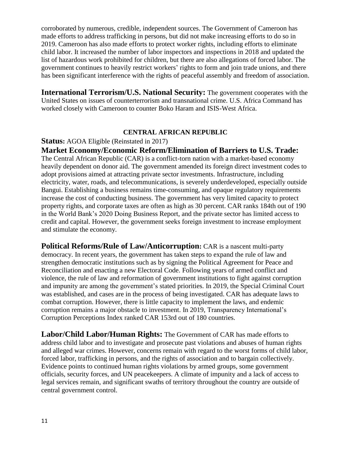corroborated by numerous, credible, independent sources. The Government of Cameroon has made efforts to address trafficking in persons, but did not make increasing efforts to do so in 2019. Cameroon has also made efforts to protect worker rights, including efforts to eliminate child labor. It increased the number of labor inspectors and inspections in 2018 and updated the list of hazardous work prohibited for children, but there are also allegations of forced labor. The government continues to heavily restrict workers' rights to form and join trade unions, and there has been significant interference with the rights of peaceful assembly and freedom of association.

**International Terrorism/U.S. National Security:** The government cooperates with the United States on issues of counterterrorism and transnational crime. U.S. Africa Command has worked closely with Cameroon to counter Boko Haram and ISIS-West Africa.

#### **CENTRAL AFRICAN REPUBLIC**

#### **Status:** AGOA Eligible (Reinstated in 2017)

**Market Economy/Economic Reform/Elimination of Barriers to U.S. Trade:**  The Central African Republic (CAR) is a conflict-torn nation with a market-based economy heavily dependent on donor aid. The government amended its foreign direct investment codes to adopt provisions aimed at attracting private sector investments. Infrastructure, including electricity, water, roads, and telecommunications, is severely underdeveloped, especially outside Bangui. Establishing a business remains time-consuming, and opaque regulatory requirements increase the cost of conducting business. The government has very limited capacity to protect property rights, and corporate taxes are often as high as 30 percent. CAR ranks 184th out of 190 in the World Bank's 2020 Doing Business Report, and the private sector has limited access to credit and capital. However, the government seeks foreign investment to increase employment and stimulate the economy.

**Political Reforms/Rule of Law/Anticorruption:** CAR is a nascent multi-party democracy. In recent years, the government has taken steps to expand the rule of law and strengthen democratic institutions such as by signing the Political Agreement for Peace and Reconciliation and enacting a new Electoral Code. Following years of armed conflict and violence, the rule of law and reformation of government institutions to fight against corruption and impunity are among the government's stated priorities. In 2019, the Special Criminal Court was established, and cases are in the process of being investigated. CAR has adequate laws to combat corruption. However, there is little capacity to implement the laws, and endemic corruption remains a major obstacle to investment. In 2019, Transparency International's Corruption Perceptions Index ranked CAR 153rd out of 180 countries.

**Labor/Child Labor/Human Rights:** The Government of CAR has made efforts to address child labor and to investigate and prosecute past violations and abuses of human rights and alleged war crimes. However, concerns remain with regard to the worst forms of child labor, forced labor, trafficking in persons, and the rights of association and to bargain collectively. Evidence points to continued human rights violations by armed groups, some government officials, security forces, and UN peacekeepers. A climate of impunity and a lack of access to legal services remain, and significant swaths of territory throughout the country are outside of central government control.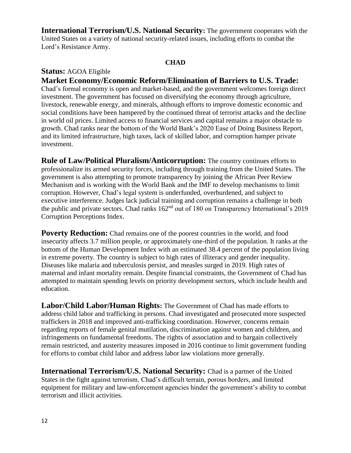**International Terrorism/U.S. National Security:** The government cooperates with the United States on a variety of national security-related issues, including efforts to combat the Lord's Resistance Army.

#### **CHAD**

#### **Status:** AGOA Eligible

**Market Economy/Economic Reform/Elimination of Barriers to U.S. Trade:** Chad's formal economy is open and market-based, and the government welcomes foreign direct investment. The government has focused on diversifying the economy through agriculture, livestock, renewable energy, and minerals, although efforts to improve domestic economic and social conditions have been hampered by the continued threat of terrorist attacks and the decline

in world oil prices. Limited access to financial services and capital remains a major obstacle to growth. Chad ranks near the bottom of the World Bank's 2020 Ease of Doing Business Report, and its limited infrastructure, high taxes, lack of skilled labor, and corruption hamper private investment.

**Rule of Law/Political Pluralism/Anticorruption:** The country continues efforts to professionalize its armed security forces, including through training from the United States. The government is also attempting to promote transparency by joining the African Peer Review Mechanism and is working with the World Bank and the IMF to develop mechanisms to limit corruption. However, Chad's legal system is underfunded, overburdened, and subject to executive interference. Judges lack judicial training and corruption remains a challenge in both the public and private sectors. Chad ranks 162nd out of 180 on Transparency International's 2019 Corruption Perceptions Index.

**Poverty Reduction:** Chad remains one of the poorest countries in the world, and food insecurity affects 3.7 million people, or approximately one-third of the population. It ranks at the bottom of the Human Development Index with an estimated 38.4 percent of the population living in extreme poverty. The country is subject to high rates of illiteracy and gender inequality. Diseases like malaria and tuberculosis persist, and measles surged in 2019. High rates of maternal and infant mortality remain. Despite financial constraints, the Government of Chad has attempted to maintain spending levels on priority development sectors, which include health and education.

**Labor/Child Labor/Human Rights:** The Government of Chad has made efforts to address child labor and trafficking in persons. Chad investigated and prosecuted more suspected traffickers in 2018 and improved anti-trafficking coordination. However, concerns remain regarding reports of female genital mutilation, discrimination against women and children, and infringements on fundamental freedoms. The rights of association and to bargain collectively remain restricted, and austerity measures imposed in 2016 continue to limit government funding for efforts to combat child labor and address labor law violations more generally.

**International Terrorism/U.S. National Security:** Chad is a partner of the United States in the fight against terrorism. Chad's difficult terrain, porous borders, and limited equipment for military and law-enforcement agencies hinder the government's ability to combat terrorism and illicit activities.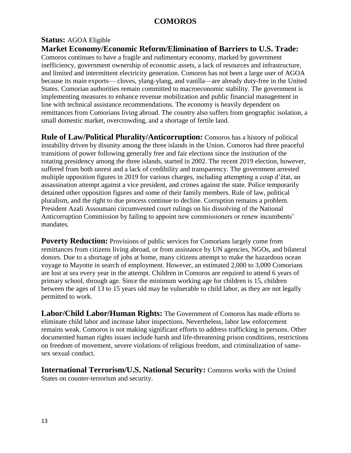# **COMOROS**

# **Status:** AGOA Eligible

**Market Economy/Economic Reform/Elimination of Barriers to U.S. Trade:** 

Comoros continues to have a fragile and rudimentary economy, marked by government inefficiency, government ownership of economic assets, a lack of resources and infrastructure, and limited and intermittent electricity generation. Comoros has not been a large user of AGOA because its main exports— cloves, ylang-ylang, and vanilla—are already duty-free in the United States. Comorian authorities remain committed to macroeconomic stability. The government is implementing measures to enhance revenue mobilization and public financial management in line with technical assistance recommendations. The economy is heavily dependent on remittances from Comorians living abroad. The country also suffers from geographic isolation, a small domestic market, overcrowding, and a shortage of fertile land.

**Rule of Law/Political Plurality/Anticorruption:** Comoros has a history of political instability driven by disunity among the three islands in the Union. Comoros had three peaceful transitions of power following generally free and fair elections since the institution of the rotating presidency among the three islands, started in 2002. The recent 2019 election, however, suffered from both unrest and a lack of credibility and transparency. The government arrested multiple opposition figures in 2019 for various charges, including attempting a coup d'état, an assassination attempt against a vice president, and crimes against the state. Police temporarily detained other opposition figures and some of their family members. Rule of law, political pluralism, and the right to due process continue to decline. Corruption remains a problem. President Azali Assoumani circumvented court rulings on his dissolving of the National Anticorruption Commission by failing to appoint new commissioners or renew incumbents' mandates.

**Poverty Reduction:** Provisions of public services for Comorians largely come from remittances from citizens living abroad, or from assistance by UN agencies, NGOs, and bilateral donors. Due to a shortage of jobs at home, many citizens attempt to make the hazardous ocean voyage to Mayotte in search of employment. However, an estimated 2,000 to 3,000 Comorians are lost at sea every year in the attempt. Children in Comoros are required to attend 6 years of primary school, through age. Since the minimum working age for children is 15, children between the ages of 13 to 15 years old may be vulnerable to child labor, as they are not legally permitted to work.

**Labor/Child Labor/Human Rights:** The Government of Comoros has made efforts to eliminate child labor and increase labor inspections. Nevertheless, labor law enforcement remains weak. Comoros is not making significant efforts to address trafficking in persons. Other documented human rights issues include harsh and life-threatening prison conditions, restrictions on freedom of movement, severe violations of religious freedom, and criminalization of samesex sexual conduct.

**International Terrorism/U.S. National Security:** Comoros works with the United States on counter-terrorism and security.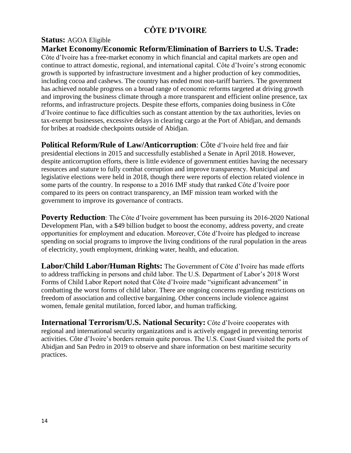# **CÔTE D'IVOIRE**

# **Status:** AGOA Eligible

**Market Economy/Economic Reform/Elimination of Barriers to U.S. Trade:**  Côte d'Ivoire has a free-market economy in which financial and capital markets are open and continue to attract domestic, regional, and international capital. Côte d'Ivoire's strong economic growth is supported by infrastructure investment and a higher production of key commodities, including cocoa and cashews. The country has ended most non-tariff barriers. The government has achieved notable progress on a broad range of economic reforms targeted at driving growth and improving the business climate through a more transparent and efficient online presence, tax reforms, and infrastructure projects. Despite these efforts, companies doing business in Côte d'Ivoire continue to face difficulties such as constant attention by the tax authorities, levies on tax-exempt businesses, excessive delays in clearing cargo at the Port of Abidjan, and demands for bribes at roadside checkpoints outside of Abidjan.

**Political Reform/Rule of Law/Anticorruption**: Côte d'Ivoire held free and fair presidential elections in 2015 and successfully established a Senate in April 2018. However, despite anticorruption efforts, there is little evidence of government entities having the necessary resources and stature to fully combat corruption and improve transparency. Municipal and legislative elections were held in 2018, though there were reports of election related violence in some parts of the country. In response to a 2016 IMF study that ranked Côte d'Ivoire poor compared to its peers on contract transparency, an IMF mission team worked with the government to improve its governance of contracts.

**Poverty Reduction**: The Côte d'Ivoire government has been pursuing its 2016-2020 National Development Plan, with a \$49 billion budget to boost the economy, address poverty, and create opportunities for employment and education. Moreover, Côte d'Ivoire has pledged to increase spending on social programs to improve the living conditions of the rural population in the areas of electricity, youth employment, drinking water, health, and education.

**Labor/Child Labor/Human Rights:** The Government of Côte d'Ivoire has made efforts to address trafficking in persons and child labor. The U.S. Department of Labor's 2018 Worst Forms of Child Labor Report noted that Côte d'Ivoire made "significant advancement" in combatting the worst forms of child labor. There are ongoing concerns regarding restrictions on freedom of association and collective bargaining. Other concerns include violence against women, female genital mutilation, forced labor, and human trafficking.

**International Terrorism/U.S. National Security:** Côte d'Ivoire cooperates with regional and international security organizations and is actively engaged in preventing terrorist activities. Côte d'Ivoire's borders remain quite porous. The U.S. Coast Guard visited the ports of Abidjan and San Pedro in 2019 to observe and share information on best maritime security practices.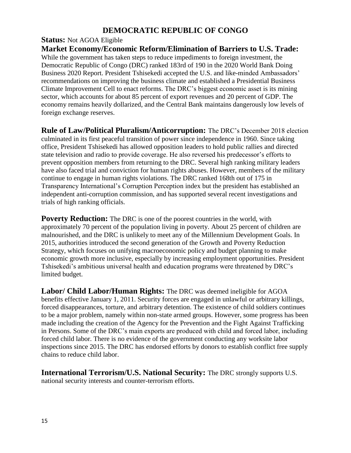## **DEMOCRATIC REPUBLIC OF CONGO**

## **Status:** Not AGOA Eligible

**Market Economy/Economic Reform/Elimination of Barriers to U.S. Trade:**  While the government has taken steps to reduce impediments to foreign investment, the Democratic Republic of Congo (DRC) ranked 183rd of 190 in the 2020 World Bank Doing Business 2020 Report. President Tshisekedi accepted the U.S. and like-minded Ambassadors' recommendations on improving the business climate and established a Presidential Business Climate Improvement Cell to enact reforms. The DRC's biggest economic asset is its mining sector, which accounts for about 85 percent of export revenues and 20 percent of GDP. The economy remains heavily dollarized, and the Central Bank maintains dangerously low levels of foreign exchange reserves.

**Rule of Law/Political Pluralism/Anticorruption:** The DRC's December 2018 election culminated in its first peaceful transition of power since independence in 1960. Since taking office, President Tshisekedi has allowed opposition leaders to hold public rallies and directed state television and radio to provide coverage. He also reversed his predecessor's efforts to prevent opposition members from returning to the DRC. Several high ranking military leaders have also faced trial and conviction for human rights abuses. However, members of the military continue to engage in human rights violations. The DRC ranked 168th out of 175 in Transparency International's Corruption Perception index but the president has established an independent anti-corruption commission, and has supported several recent investigations and trials of high ranking officials.

**Poverty Reduction:** The DRC is one of the poorest countries in the world, with approximately 70 percent of the population living in poverty. About 25 percent of children are malnourished, and the DRC is unlikely to meet any of the Millennium Development Goals. In 2015, authorities introduced the second generation of the Growth and Poverty Reduction Strategy, which focuses on unifying macroeconomic policy and budget planning to make economic growth more inclusive, especially by increasing employment opportunities. President Tshisekedi's ambitious universal health and education programs were threatened by DRC's limited budget.

**Labor/ Child Labor/Human Rights:** The DRC was deemed ineligible for AGOA benefits effective January 1, 2011. Security forces are engaged in unlawful or arbitrary killings, forced disappearances, torture, and arbitrary detention. The existence of child soldiers continues to be a major problem, namely within non-state armed groups. However, some progress has been made including the creation of the Agency for the Prevention and the Fight Against Trafficking in Persons. Some of the DRC's main exports are produced with child and forced labor, including forced child labor. There is no evidence of the government conducting any worksite labor inspections since 2015. The DRC has endorsed efforts by donors to establish conflict free supply chains to reduce child labor.

**International Terrorism/U.S. National Security:** The DRC strongly supports U.S. national security interests and counter-terrorism efforts.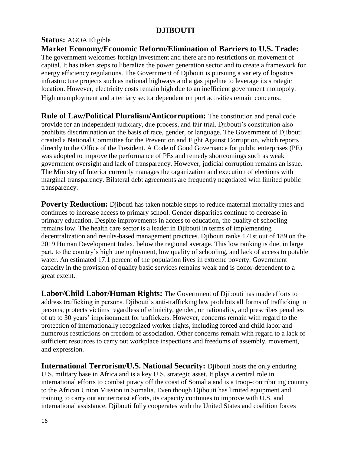# **DJIBOUTI**

## **Status:** AGOA Eligible

**Market Economy/Economic Reform/Elimination of Barriers to U.S. Trade:** 

The government welcomes foreign investment and there are no restrictions on movement of capital. It has taken steps to liberalize the power generation sector and to create a framework for energy efficiency regulations. The Government of Djibouti is pursuing a variety of logistics infrastructure projects such as national highways and a gas pipeline to leverage its strategic location. However, electricity costs remain high due to an inefficient government monopoly. High unemployment and a tertiary sector dependent on port activities remain concerns.

**Rule of Law/Political Pluralism/Anticorruption:** The constitution and penal code provide for an independent judiciary, due process, and fair trial. Djibouti's constitution also prohibits discrimination on the basis of race, gender, or language. The Government of Djibouti created a National Committee for the Prevention and Fight Against Corruption, which reports directly to the Office of the President. A Code of Good Governance for public enterprises (PE) was adopted to improve the performance of PEs and remedy shortcomings such as weak government oversight and lack of transparency. However, judicial corruption remains an issue. The Ministry of Interior currently manages the organization and execution of elections with marginal transparency. Bilateral debt agreements are frequently negotiated with limited public transparency.

**Poverty Reduction:** Djibouti has taken notable steps to reduce maternal mortality rates and continues to increase access to primary school. Gender disparities continue to decrease in primary education. Despite improvements in access to education, the quality of schooling remains low. The health care sector is a leader in Djibouti in terms of implementing decentralization and results-based management practices. Djibouti ranks 171st out of 189 on the 2019 Human Development Index, below the regional average. This low ranking is due, in large part, to the country's high unemployment, low quality of schooling, and lack of access to potable water. An estimated 17.1 percent of the population lives in extreme poverty. Government capacity in the provision of quality basic services remains weak and is donor-dependent to a great extent.

**Labor/Child Labor/Human Rights:** The Government of Djibouti has made efforts to address trafficking in persons. Djibouti's anti-trafficking law prohibits all forms of trafficking in persons, protects victims regardless of ethnicity, gender, or nationality, and prescribes penalties of up to 30 years' imprisonment for traffickers. However, concerns remain with regard to the protection of internationally recognized worker rights, including forced and child labor and numerous restrictions on freedom of association. Other concerns remain with regard to a lack of sufficient resources to carry out workplace inspections and freedoms of assembly, movement, and expression.

**International Terrorism/U.S. National Security:** Djibouti hosts the only enduring U.S. military base in Africa and is a key U.S. strategic asset. It plays a central role in international efforts to combat piracy off the coast of Somalia and is a troop-contributing country to the African Union Mission in Somalia. Even though Djibouti has limited equipment and training to carry out antiterrorist efforts, its capacity continues to improve with U.S. and international assistance. Djibouti fully cooperates with the United States and coalition forces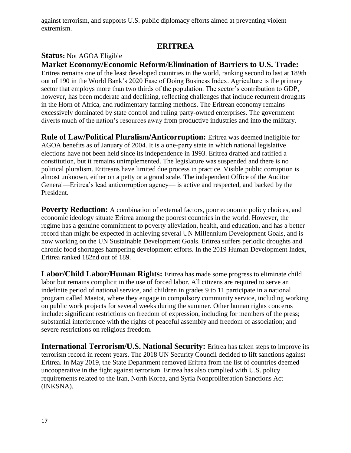against terrorism, and supports U.S. public diplomacy efforts aimed at preventing violent extremism.

#### **ERITREA**

#### **Status:** Not AGOA Eligible

**Market Economy/Economic Reform/Elimination of Barriers to U.S. Trade:**  Eritrea remains one of the least developed countries in the world, ranking second to last at 189th out of 190 in the World Bank's 2020 Ease of Doing Business Index. Agriculture is the primary sector that employs more than two thirds of the population. The sector's contribution to GDP, however, has been moderate and declining, reflecting challenges that include recurrent droughts in the Horn of Africa, and rudimentary farming methods. The Eritrean economy remains excessively dominated by state control and ruling party-owned enterprises. The government diverts much of the nation's resources away from productive industries and into the military.

**Rule of Law/Political Pluralism/Anticorruption:** Eritrea was deemed ineligible for AGOA benefits as of January of 2004. It is a one-party state in which national legislative elections have not been held since its independence in 1993. Eritrea drafted and ratified a constitution, but it remains unimplemented. The legislature was suspended and there is no political pluralism. Eritreans have limited due process in practice. Visible public corruption is almost unknown, either on a petty or a grand scale. The independent Office of the Auditor General—Eritrea's lead anticorruption agency— is active and respected, and backed by the President.

**Poverty Reduction:** A combination of external factors, poor economic policy choices, and economic ideology situate Eritrea among the poorest countries in the world. However, the regime has a genuine commitment to poverty alleviation, health, and education, and has a better record than might be expected in achieving several UN Millennium Development Goals, and is now working on the UN Sustainable Development Goals. Eritrea suffers periodic droughts and chronic food shortages hampering development efforts. In the 2019 Human Development Index, Eritrea ranked 182nd out of 189.

**Labor/Child Labor/Human Rights:** Eritrea has made some progress to eliminate child labor but remains complicit in the use of forced labor. All citizens are required to serve an indefinite period of national service, and children in grades 9 to 11 participate in a national program called Maetot, where they engage in compulsory community service, including working on public work projects for several weeks during the summer. Other human rights concerns include: significant restrictions on freedom of expression, including for members of the press; substantial interference with the rights of peaceful assembly and freedom of association; and severe restrictions on religious freedom.

**International Terrorism/U.S. National Security:** Eritrea has taken steps to improve its terrorism record in recent years. The 2018 UN Security Council decided to lift sanctions against Eritrea. In May 2019, the State Department removed Eritrea from the list of countries deemed uncooperative in the fight against terrorism. Eritrea has also complied with U.S. policy requirements related to the Iran, North Korea, and Syria Nonproliferation Sanctions Act (INKSNA).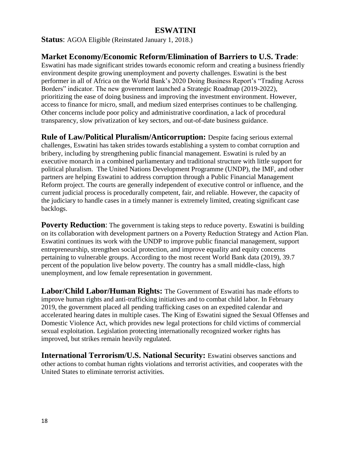## **ESWATINI**

**Status:** AGOA Eligible (Reinstated January 1, 2018.)

#### **Market Economy/Economic Reform/Elimination of Barriers to U.S. Trade**:

Eswatini has made significant strides towards economic reform and creating a business friendly environment despite growing unemployment and poverty challenges. Eswatini is the best performer in all of Africa on the World Bank's 2020 Doing Business Report's "Trading Across Borders" indicator. The new government launched a Strategic Roadmap (2019-2022), prioritizing the ease of doing business and improving the investment environment. However, access to finance for micro, small, and medium sized enterprises continues to be challenging. Other concerns include poor policy and administrative coordination, a lack of procedural transparency, slow privatization of key sectors, and out-of-date business guidance.

**Rule of Law/Political Pluralism/Anticorruption:** Despite facing serious external challenges, Eswatini has taken strides towards establishing a system to combat corruption and bribery, including by strengthening public financial management. Eswatini is ruled by an executive monarch in a combined parliamentary and traditional structure with little support for political pluralism. The United Nations Development Programme (UNDP), the IMF, and other partners are helping Eswatini to address corruption through a Public Financial Management Reform project. The courts are generally independent of executive control or influence, and the current judicial process is procedurally competent, fair, and reliable. However, the capacity of the judiciary to handle cases in a timely manner is extremely limited, creating significant case backlogs.

**Poverty Reduction:** The government is taking steps to reduce poverty. Eswatini is building on its collaboration with development partners on a Poverty Reduction Strategy and Action Plan. Eswatini continues its work with the UNDP to improve public financial management, support entrepreneurship, strengthen social protection, and improve equality and equity concerns pertaining to vulnerable groups. According to the most recent World Bank data (2019), 39.7 percent of the population live below poverty. The country has a small middle-class, high unemployment, and low female representation in government.

**Labor/Child Labor/Human Rights:** The Government of Eswatini has made efforts to improve human rights and anti-trafficking initiatives and to combat child labor. In February 2019, the government placed all pending trafficking cases on an expedited calendar and accelerated hearing dates in multiple cases. The King of Eswatini signed the Sexual Offenses and Domestic Violence Act, which provides new legal protections for child victims of commercial sexual exploitation. Legislation protecting internationally recognized worker rights has improved, but strikes remain heavily regulated.

**International Terrorism/U.S. National Security:** Eswatini observes sanctions and other actions to combat human rights violations and terrorist activities, and cooperates with the United States to eliminate terrorist activities.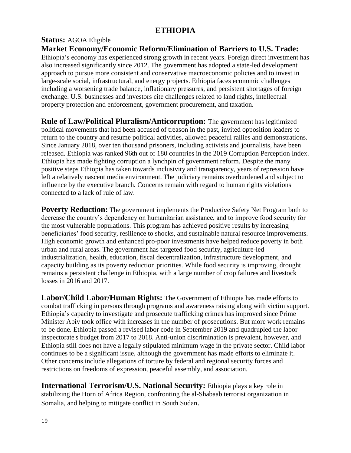## **ETHIOPIA**

# **Status:** AGOA Eligible

**Market Economy/Economic Reform/Elimination of Barriers to U.S. Trade:** 

Ethiopia's economy has experienced strong growth in recent years. Foreign direct investment has also increased significantly since 2012. The government has adopted a state-led development approach to pursue more consistent and conservative macroeconomic policies and to invest in large-scale social, infrastructural, and energy projects. Ethiopia faces economic challenges including a worsening trade balance, inflationary pressures, and persistent shortages of foreign exchange. U.S. businesses and investors cite challenges related to land rights, intellectual property protection and enforcement, government procurement, and taxation.

**Rule of Law/Political Pluralism/Anticorruption:** The government has legitimized political movements that had been accused of treason in the past, invited opposition leaders to return to the country and resume political activities, allowed peaceful rallies and demonstrations. Since January 2018, over ten thousand prisoners, including activists and journalists, have been released. Ethiopia was ranked 96th out of 180 countries in the 2019 Corruption Perception Index. Ethiopia has made fighting corruption a lynchpin of government reform. Despite the many positive steps Ethiopia has taken towards inclusivity and transparency, years of repression have left a relatively nascent media environment. The judiciary remains overburdened and subject to influence by the executive branch. Concerns remain with regard to human rights violations connected to a lack of rule of law.

**Poverty Reduction:** The government implements the Productive Safety Net Program both to decrease the country's dependency on humanitarian assistance, and to improve food security for the most vulnerable populations. This program has achieved positive results by increasing beneficiaries' food security, resilience to shocks, and sustainable natural resource improvements. High economic growth and enhanced pro-poor investments have helped reduce poverty in both urban and rural areas. The government has targeted food security, agriculture-led industrialization, health, education, fiscal decentralization, infrastructure development, and capacity building as its poverty reduction priorities. While food security is improving, drought remains a persistent challenge in Ethiopia, with a large number of crop failures and livestock losses in 2016 and 2017.

**Labor/Child Labor/Human Rights:** The Government of Ethiopia has made efforts to combat trafficking in persons through programs and awareness raising along with victim support. Ethiopia's capacity to investigate and prosecute trafficking crimes has improved since Prime Minister Abiy took office with increases in the number of prosecutions. But more work remains to be done. Ethiopia passed a revised labor code in September 2019 and quadrupled the labor inspectorate's budget from 2017 to 2018. Anti-union discrimination is prevalent, however, and Ethiopia still does not have a legally stipulated minimum wage in the private sector. Child labor continues to be a significant issue, although the government has made efforts to eliminate it. Other concerns include allegations of torture by federal and regional security forces and restrictions on freedoms of expression, peaceful assembly, and association.

**International Terrorism/U.S. National Security:** Ethiopia plays a key role in stabilizing the Horn of Africa Region, confronting the al-Shabaab terrorist organization in Somalia, and helping to mitigate conflict in South Sudan.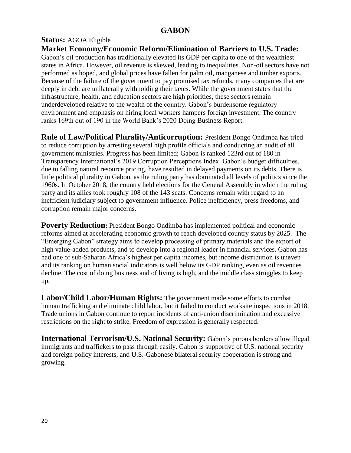#### **GABON**

# **Status:** AGOA Eligible

**Market Economy/Economic Reform/Elimination of Barriers to U.S. Trade:**  Gabon's oil production has traditionally elevated its GDP per capita to one of the wealthiest states in Africa. However, oil revenue is skewed, leading to inequalities. Non-oil sectors have not performed as hoped, and global prices have fallen for palm oil, manganese and timber exports. Because of the failure of the government to pay promised tax refunds, many companies that are deeply in debt are unilaterally withholding their taxes. While the government states that the infrastructure, health, and education sectors are high priorities, these sectors remain underdeveloped relative to the wealth of the country. Gabon's burdensome regulatory environment and emphasis on hiring local workers hampers foreign investment. The country ranks 169th out of 190 in the World Bank's 2020 Doing Business Report.

**Rule of Law/Political Plurality/Anticorruption:** President Bongo Ondimba has tried to reduce corruption by arresting several high profile officials and conducting an audit of all government ministries. Progress has been limited; Gabon is ranked 123rd out of 180 in Transparency International's 2019 Corruption Perceptions Index. Gabon's budget difficulties, due to falling natural resource pricing, have resulted in delayed payments on its debts. There is little political plurality in Gabon, as the ruling party has dominated all levels of politics since the 1960s. In October 2018, the country held elections for the General Assembly in which the ruling party and its allies took roughly 108 of the 143 seats. Concerns remain with regard to an inefficient judiciary subject to government influence. Police inefficiency, press freedoms, and corruption remain major concerns.

**Poverty Reduction:** President Bongo Ondimba has implemented political and economic reforms aimed at accelerating economic growth to reach developed country status by 2025. The "Emerging Gabon" strategy aims to develop processing of primary materials and the export of high value-added products, and to develop into a regional leader in financial services. Gabon has had one of sub-Saharan Africa's highest per capita incomes, but income distribution is uneven and its ranking on human social indicators is well below its GDP ranking, even as oil revenues decline. The cost of doing business and of living is high, and the middle class struggles to keep up.

**Labor/Child Labor/Human Rights:** The government made some efforts to combat human trafficking and eliminate child labor, but it failed to conduct worksite inspections in 2018. Trade unions in Gabon continue to report incidents of anti-union discrimination and excessive restrictions on the right to strike. Freedom of expression is generally respected.

**International Terrorism/U.S. National Security:** Gabon's porous borders allow illegal immigrants and traffickers to pass through easily. Gabon is supportive of U.S. national security and foreign policy interests, and U.S.-Gabonese bilateral security cooperation is strong and growing.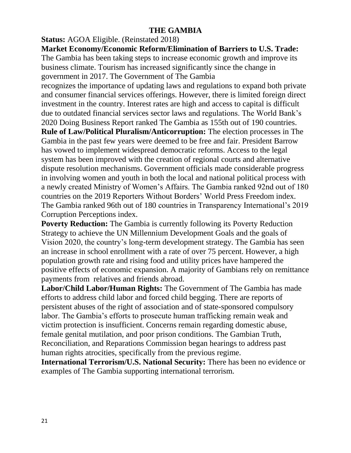# **THE GAMBIA**

**Status:** AGOA Eligible. (Reinstated 2018)

**Market Economy/Economic Reform/Elimination of Barriers to U.S. Trade:**  The Gambia has been taking steps to increase economic growth and improve its business climate. Tourism has increased significantly since the change in government in 2017. The Government of The Gambia

recognizes the importance of updating laws and regulations to expand both private and consumer financial services offerings. However, there is limited foreign direct investment in the country. Interest rates are high and access to capital is difficult due to outdated financial services sector laws and regulations. The World Bank's 2020 Doing Business Report ranked The Gambia as 155th out of 190 countries.

**Rule of Law/Political Pluralism/Anticorruption:** The election processes in The Gambia in the past few years were deemed to be free and fair. President Barrow has vowed to implement widespread democratic reforms. Access to the legal system has been improved with the creation of regional courts and alternative dispute resolution mechanisms. Government officials made considerable progress in involving women and youth in both the local and national political process with a newly created Ministry of Women's Affairs. The Gambia ranked 92nd out of 180 countries on the 2019 Reporters Without Borders' World Press Freedom index. The Gambia ranked 96th out of 180 countries in Transparency International's 2019 Corruption Perceptions index.

**Poverty Reduction:** The Gambia is currently following its Poverty Reduction Strategy to achieve the UN Millennium Development Goals and the goals of Vision 2020, the country's long-term development strategy. The Gambia has seen an increase in school enrollment with a rate of over 75 percent. However, a high population growth rate and rising food and utility prices have hampered the positive effects of economic expansion. A majority of Gambians rely on remittance payments from relatives and friends abroad.

**Labor/Child Labor/Human Rights:** The Government of The Gambia has made efforts to address child labor and forced child begging. There are reports of persistent abuses of the right of association and of state-sponsored compulsory labor. The Gambia's efforts to prosecute human trafficking remain weak and victim protection is insufficient. Concerns remain regarding domestic abuse, female genital mutilation, and poor prison conditions. The Gambian Truth, Reconciliation, and Reparations Commission began hearings to address past human rights atrocities, specifically from the previous regime.

**International Terrorism/U.S. National Security:** There has been no evidence or examples of The Gambia supporting international terrorism.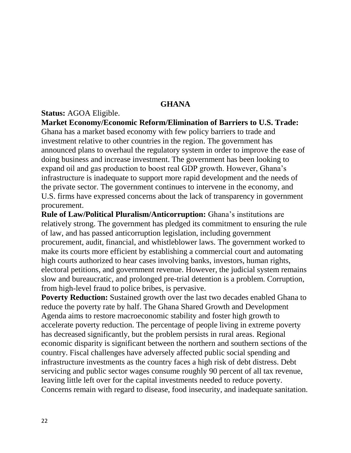#### **GHANA**

#### **Status:** AGOA Eligible.

**Market Economy/Economic Reform/Elimination of Barriers to U.S. Trade:**  Ghana has a market based economy with few policy barriers to trade and investment relative to other countries in the region. The government has announced plans to overhaul the regulatory system in order to improve the ease of doing business and increase investment. The government has been looking to expand oil and gas production to boost real GDP growth. However, Ghana's infrastructure is inadequate to support more rapid development and the needs of the private sector. The government continues to intervene in the economy, and U.S. firms have expressed concerns about the lack of transparency in government procurement.

**Rule of Law/Political Pluralism/Anticorruption:** Ghana's institutions are relatively strong. The government has pledged its commitment to ensuring the rule of law, and has passed anticorruption legislation, including government procurement, audit, financial, and whistleblower laws. The government worked to make its courts more efficient by establishing a commercial court and automating high courts authorized to hear cases involving banks, investors, human rights, electoral petitions, and government revenue. However, the judicial system remains slow and bureaucratic, and prolonged pre-trial detention is a problem. Corruption, from high-level fraud to police bribes, is pervasive.

**Poverty Reduction:** Sustained growth over the last two decades enabled Ghana to reduce the poverty rate by half. The Ghana Shared Growth and Development Agenda aims to restore macroeconomic stability and foster high growth to accelerate poverty reduction. The percentage of people living in extreme poverty has decreased significantly, but the problem persists in rural areas. Regional economic disparity is significant between the northern and southern sections of the country. Fiscal challenges have adversely affected public social spending and infrastructure investments as the country faces a high risk of debt distress. Debt servicing and public sector wages consume roughly 90 percent of all tax revenue, leaving little left over for the capital investments needed to reduce poverty. Concerns remain with regard to disease, food insecurity, and inadequate sanitation.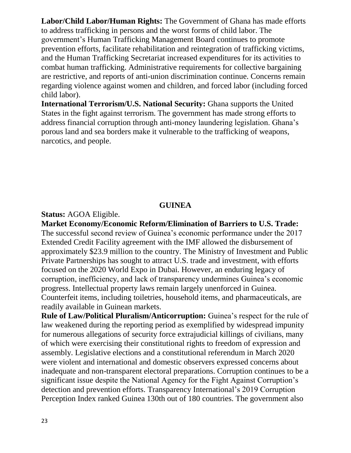**Labor/Child Labor/Human Rights:** The Government of Ghana has made efforts to address trafficking in persons and the worst forms of child labor. The government's Human Trafficking Management Board continues to promote prevention efforts, facilitate rehabilitation and reintegration of trafficking victims, and the Human Trafficking Secretariat increased expenditures for its activities to combat human trafficking. Administrative requirements for collective bargaining are restrictive, and reports of anti-union discrimination continue. Concerns remain regarding violence against women and children, and forced labor (including forced child labor).

**International Terrorism/U.S. National Security: Ghana supports the United** States in the fight against terrorism. The government has made strong efforts to address financial corruption through anti-money laundering legislation. Ghana's porous land and sea borders make it vulnerable to the trafficking of weapons, narcotics, and people.

#### **GUINEA**

#### **Status:** AGOA Eligible.

**Market Economy/Economic Reform/Elimination of Barriers to U.S. Trade:**  The successful second review of Guinea's economic performance under the 2017 Extended Credit Facility agreement with the IMF allowed the disbursement of approximately \$23.9 million to the country. The Ministry of Investment and Public Private Partnerships has sought to attract U.S. trade and investment, with efforts focused on the 2020 World Expo in Dubai. However, an enduring legacy of corruption, inefficiency, and lack of transparency undermines Guinea's economic progress. Intellectual property laws remain largely unenforced in Guinea. Counterfeit items, including toiletries, household items, and pharmaceuticals, are readily available in Guinean markets.

**Rule of Law/Political Pluralism/Anticorruption:** Guinea's respect for the rule of law weakened during the reporting period as exemplified by widespread impunity for numerous allegations of security force extrajudicial killings of civilians, many of which were exercising their constitutional rights to freedom of expression and assembly. Legislative elections and a constitutional referendum in March 2020 were violent and international and domestic observers expressed concerns about inadequate and non-transparent electoral preparations. Corruption continues to be a significant issue despite the National Agency for the Fight Against Corruption's detection and prevention efforts. Transparency International's 2019 Corruption Perception Index ranked Guinea 130th out of 180 countries. The government also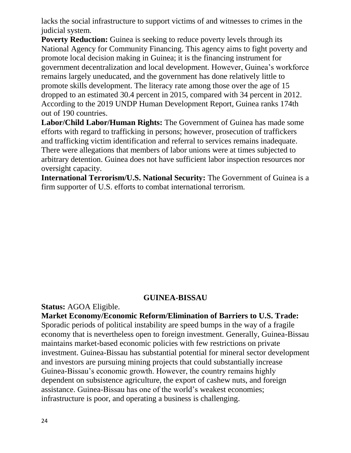lacks the social infrastructure to support victims of and witnesses to crimes in the judicial system.

**Poverty Reduction:** Guinea is seeking to reduce poverty levels through its National Agency for Community Financing. This agency aims to fight poverty and promote local decision making in Guinea; it is the financing instrument for government decentralization and local development. However, Guinea's workforce remains largely uneducated, and the government has done relatively little to promote skills development. The literacy rate among those over the age of 15 dropped to an estimated 30.4 percent in 2015, compared with 34 percent in 2012. According to the 2019 UNDP Human Development Report, Guinea ranks 174th out of 190 countries.

**Labor/Child Labor/Human Rights:** The Government of Guinea has made some efforts with regard to trafficking in persons; however, prosecution of traffickers and trafficking victim identification and referral to services remains inadequate. There were allegations that members of labor unions were at times subjected to arbitrary detention. Guinea does not have sufficient labor inspection resources nor oversight capacity.

**International Terrorism/U.S. National Security:** The Government of Guinea is a firm supporter of U.S. efforts to combat international terrorism.

## **GUINEA-BISSAU**

**Status:** AGOA Eligible.

**Market Economy/Economic Reform/Elimination of Barriers to U.S. Trade:**  Sporadic periods of political instability are speed bumps in the way of a fragile economy that is nevertheless open to foreign investment. Generally, Guinea-Bissau maintains market-based economic policies with few restrictions on private investment. Guinea-Bissau has substantial potential for mineral sector development and investors are pursuing mining projects that could substantially increase Guinea-Bissau's economic growth. However, the country remains highly dependent on subsistence agriculture, the export of cashew nuts, and foreign assistance. Guinea-Bissau has one of the world's weakest economies; infrastructure is poor, and operating a business is challenging.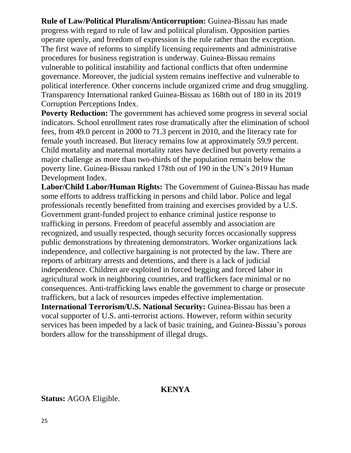**Rule of Law/Political Pluralism/Anticorruption:** Guinea-Bissau has made progress with regard to rule of law and political pluralism. Opposition parties operate openly, and freedom of expression is the rule rather than the exception. The first wave of reforms to simplify licensing requirements and administrative procedures for business registration is underway. Guinea-Bissau remains vulnerable to political instability and factional conflicts that often undermine governance. Moreover, the judicial system remains ineffective and vulnerable to political interference. Other concerns include organized crime and drug smuggling. Transparency International ranked Guinea-Bissau as 168th out of 180 in its 2019 Corruption Perceptions Index.

**Poverty Reduction:** The government has achieved some progress in several social indicators. School enrollment rates rose dramatically after the elimination of school fees, from 49.0 percent in 2000 to 71.3 percent in 2010, and the literacy rate for female youth increased. But literacy remains low at approximately 59.9 percent. Child mortality and maternal mortality rates have declined but poverty remains a major challenge as more than two-thirds of the population remain below the poverty line. Guinea-Bissau ranked 178th out of 190 in the UN's 2019 Human Development Index.

**Labor/Child Labor/Human Rights:** The Government of Guinea-Bissau has made some efforts to address trafficking in persons and child labor. Police and legal professionals recently benefitted from training and exercises provided by a U.S. Government grant-funded project to enhance criminal justice response to trafficking in persons. Freedom of peaceful assembly and association are recognized, and usually respected, though security forces occasionally suppress public demonstrations by threatening demonstrators. Worker organizations lack independence, and collective bargaining is not protected by the law. There are reports of arbitrary arrests and detentions, and there is a lack of judicial independence. Children are exploited in forced begging and forced labor in agricultural work in neighboring countries, and traffickers face minimal or no consequences. Anti-trafficking laws enable the government to charge or prosecute traffickers, but a lack of resources impedes effective implementation. **International Terrorism/U.S. National Security:** Guinea-Bissau has been a

vocal supporter of U.S. anti-terrorist actions. However, reform within security services has been impeded by a lack of basic training, and Guinea-Bissau's porous borders allow for the transshipment of illegal drugs.

# **KENYA**

**Status:** AGOA Eligible.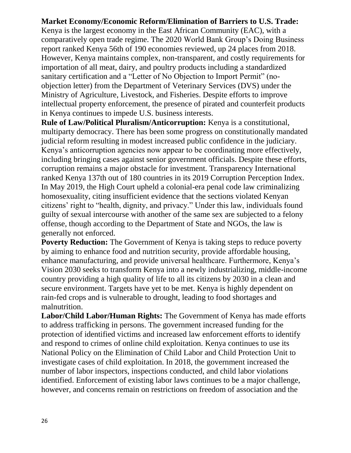# **Market Economy/Economic Reform/Elimination of Barriers to U.S. Trade:**

Kenya is the largest economy in the East African Community (EAC), with a comparatively open trade regime. The 2020 World Bank Group's Doing Business report ranked Kenya 56th of 190 economies reviewed, up 24 places from 2018. However, Kenya maintains complex, non-transparent, and costly requirements for importation of all meat, dairy, and poultry products including a standardized sanitary certification and a "Letter of No Objection to Import Permit" (noobjection letter) from the Department of Veterinary Services (DVS) under the Ministry of Agriculture, Livestock, and Fisheries. Despite efforts to improve intellectual property enforcement, the presence of pirated and counterfeit products in Kenya continues to impede U.S. business interests.

**Rule of Law/Political Pluralism/Anticorruption:** Kenya is a constitutional, multiparty democracy. There has been some progress on constitutionally mandated judicial reform resulting in modest increased public confidence in the judiciary. Kenya's anticorruption agencies now appear to be coordinating more effectively, including bringing cases against senior government officials. Despite these efforts, corruption remains a major obstacle for investment. Transparency International ranked Kenya 137th out of 180 countries in its 2019 Corruption Perception Index. In May 2019, the High Court upheld a colonial-era penal code law criminalizing homosexuality, citing insufficient evidence that the sections violated Kenyan citizens' right to "health, dignity, and privacy." Under this law, individuals found guilty of sexual intercourse with another of the same sex are subjected to a felony offense, though according to the Department of State and NGOs, the law is generally not enforced.

**Poverty Reduction:** The Government of Kenya is taking steps to reduce poverty by aiming to enhance food and nutrition security, provide affordable housing, enhance manufacturing, and provide universal healthcare. Furthermore, Kenya's Vision 2030 seeks to transform Kenya into a newly industrializing, middle-income country providing a high quality of life to all its citizens by 2030 in a clean and secure environment. Targets have yet to be met. Kenya is highly dependent on rain-fed crops and is vulnerable to drought, leading to food shortages and malnutrition.

**Labor/Child Labor/Human Rights:** The Government of Kenya has made efforts to address trafficking in persons. The government increased funding for the protection of identified victims and increased law enforcement efforts to identify and respond to crimes of online child exploitation. Kenya continues to use its National Policy on the Elimination of Child Labor and Child Protection Unit to investigate cases of child exploitation. In 2018, the government increased the number of labor inspectors, inspections conducted, and child labor violations identified. Enforcement of existing labor laws continues to be a major challenge, however, and concerns remain on restrictions on freedom of association and the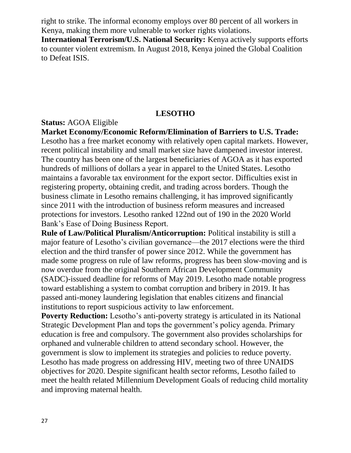right to strike. The informal economy employs over 80 percent of all workers in Kenya, making them more vulnerable to worker rights violations.

**International Terrorism/U.S. National Security:** Kenya actively supports efforts to counter violent extremism. In August 2018, Kenya joined the Global Coalition to Defeat ISIS.

#### **LESOTHO**

#### **Status:** AGOA Eligible

**Market Economy/Economic Reform/Elimination of Barriers to U.S. Trade:**  Lesotho has a free market economy with relatively open capital markets. However, recent political instability and small market size have dampened investor interest. The country has been one of the largest beneficiaries of AGOA as it has exported hundreds of millions of dollars a year in apparel to the United States. Lesotho maintains a favorable tax environment for the export sector. Difficulties exist in registering property, obtaining credit, and trading across borders. Though the business climate in Lesotho remains challenging, it has improved significantly since 2011 with the introduction of business reform measures and increased protections for investors. Lesotho ranked 122nd out of 190 in the 2020 World Bank's Ease of Doing Business Report.

**Rule of Law/Political Pluralism/Anticorruption:** Political instability is still a major feature of Lesotho's civilian governance—the 2017 elections were the third election and the third transfer of power since 2012. While the government has made some progress on rule of law reforms, progress has been slow-moving and is now overdue from the original Southern African Development Community (SADC)-issued deadline for reforms of May 2019. Lesotho made notable progress toward establishing a system to combat corruption and bribery in 2019. It has passed anti-money laundering legislation that enables citizens and financial institutions to report suspicious activity to law enforcement.

**Poverty Reduction:** Lesotho's anti-poverty strategy is articulated in its National Strategic Development Plan and tops the government's policy agenda. Primary education is free and compulsory. The government also provides scholarships for orphaned and vulnerable children to attend secondary school. However, the government is slow to implement its strategies and policies to reduce poverty. Lesotho has made progress on addressing HIV, meeting two of three UNAIDS objectives for 2020. Despite significant health sector reforms, Lesotho failed to meet the health related Millennium Development Goals of reducing child mortality and improving maternal health.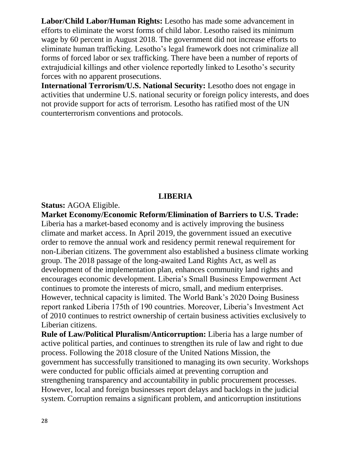**Labor/Child Labor/Human Rights:** Lesotho has made some advancement in efforts to eliminate the worst forms of child labor. Lesotho raised its minimum wage by 60 percent in August 2018. The government did not increase efforts to eliminate human trafficking. Lesotho's legal framework does not criminalize all forms of forced labor or sex trafficking. There have been a number of reports of extrajudicial killings and other violence reportedly linked to Lesotho's security forces with no apparent prosecutions.

**International Terrorism/U.S. National Security:** Lesotho does not engage in activities that undermine U.S. national security or foreign policy interests, and does not provide support for acts of terrorism. Lesotho has ratified most of the UN counterterrorism conventions and protocols.

## **LIBERIA**

**Status:** AGOA Eligible.

**Market Economy/Economic Reform/Elimination of Barriers to U.S. Trade:**  Liberia has a market-based economy and is actively improving the business climate and market access. In April 2019, the government issued an executive order to remove the annual work and residency permit renewal requirement for non-Liberian citizens. The government also established a business climate working group. The 2018 passage of the long-awaited Land Rights Act, as well as development of the implementation plan, enhances community land rights and encourages economic development. Liberia's Small Business Empowerment Act continues to promote the interests of micro, small, and medium enterprises. However, technical capacity is limited. The World Bank's 2020 Doing Business report ranked Liberia 175th of 190 countries. Moreover, Liberia's Investment Act of 2010 continues to restrict ownership of certain business activities exclusively to Liberian citizens.

**Rule of Law/Political Pluralism/Anticorruption:** Liberia has a large number of active political parties, and continues to strengthen its rule of law and right to due process. Following the 2018 closure of the United Nations Mission, the government has successfully transitioned to managing its own security. Workshops were conducted for public officials aimed at preventing corruption and strengthening transparency and accountability in public procurement processes. However, local and foreign businesses report delays and backlogs in the judicial system. Corruption remains a significant problem, and anticorruption institutions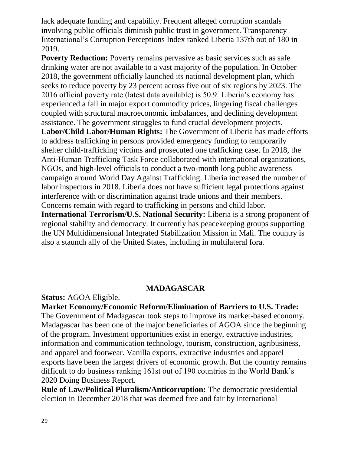lack adequate funding and capability. Frequent alleged corruption scandals involving public officials diminish public trust in government. Transparency International's Corruption Perceptions Index ranked Liberia 137th out of 180 in 2019.

**Poverty Reduction:** Poverty remains pervasive as basic services such as safe drinking water are not available to a vast majority of the population. In October 2018, the government officially launched its national development plan, which seeks to reduce poverty by 23 percent across five out of six regions by 2023. The 2016 official poverty rate (latest data available) is 50.9. Liberia's economy has experienced a fall in major export commodity prices, lingering fiscal challenges coupled with structural macroeconomic imbalances, and declining development assistance. The government struggles to fund crucial development projects. **Labor/Child Labor/Human Rights:** The Government of Liberia has made efforts to address trafficking in persons provided emergency funding to temporarily shelter child-trafficking victims and prosecuted one trafficking case. In 2018, the Anti-Human Trafficking Task Force collaborated with international organizations, NGOs, and high-level officials to conduct a two-month long public awareness campaign around World Day Against Trafficking. Liberia increased the number of labor inspectors in 2018. Liberia does not have sufficient legal protections against interference with or discrimination against trade unions and their members. Concerns remain with regard to trafficking in persons and child labor. **International Terrorism/U.S. National Security:** Liberia is a strong proponent of regional stability and democracy. It currently has peacekeeping groups supporting the UN Multidimensional Integrated Stabilization Mission in Mali. The country is

also a staunch ally of the United States, including in multilateral fora.

## **MADAGASCAR**

**Status:** AGOA Eligible.

**Market Economy/Economic Reform/Elimination of Barriers to U.S. Trade:**  The Government of Madagascar took steps to improve its market-based economy. Madagascar has been one of the major beneficiaries of AGOA since the beginning of the program. Investment opportunities exist in energy, extractive industries, information and communication technology, tourism, construction, agribusiness, and apparel and footwear. Vanilla exports, extractive industries and apparel exports have been the largest drivers of economic growth. But the country remains difficult to do business ranking 161st out of 190 countries in the World Bank's 2020 Doing Business Report.

**Rule of Law/Political Pluralism/Anticorruption:** The democratic presidential election in December 2018 that was deemed free and fair by international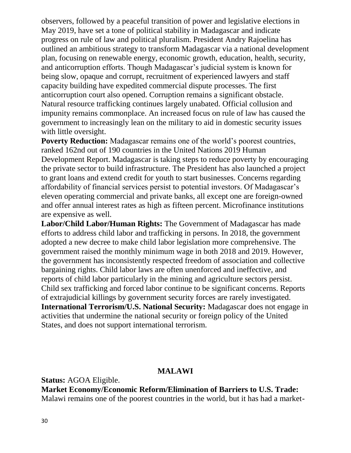observers, followed by a peaceful transition of power and legislative elections in May 2019, have set a tone of political stability in Madagascar and indicate progress on rule of law and political pluralism. President Andry Rajoelina has outlined an ambitious strategy to transform Madagascar via a national development plan, focusing on renewable energy, economic growth, education, health, security, and anticorruption efforts. Though Madagascar's judicial system is known for being slow, opaque and corrupt, recruitment of experienced lawyers and staff capacity building have expedited commercial dispute processes. The first anticorruption court also opened. Corruption remains a significant obstacle. Natural resource trafficking continues largely unabated. Official collusion and impunity remains commonplace. An increased focus on rule of law has caused the government to increasingly lean on the military to aid in domestic security issues with little oversight.

**Poverty Reduction:** Madagascar remains one of the world's poorest countries, ranked 162nd out of 190 countries in the United Nations 2019 Human Development Report. Madagascar is taking steps to reduce poverty by encouraging the private sector to build infrastructure. The President has also launched a project to grant loans and extend credit for youth to start businesses. Concerns regarding affordability of financial services persist to potential investors. Of Madagascar's eleven operating commercial and private banks, all except one are foreign-owned and offer annual interest rates as high as fifteen percent. Microfinance institutions are expensive as well.

**Labor/Child Labor/Human Rights:** The Government of Madagascar has made efforts to address child labor and trafficking in persons. In 2018, the government adopted a new decree to make child labor legislation more comprehensive. The government raised the monthly minimum wage in both 2018 and 2019. However, the government has inconsistently respected freedom of association and collective bargaining rights. Child labor laws are often unenforced and ineffective, and reports of child labor particularly in the mining and agriculture sectors persist. Child sex trafficking and forced labor continue to be significant concerns. Reports of extrajudicial killings by government security forces are rarely investigated. **International Terrorism/U.S. National Security:** Madagascar does not engage in activities that undermine the national security or foreign policy of the United States, and does not support international terrorism.

## **MALAWI**

**Status:** AGOA Eligible. **Market Economy/Economic Reform/Elimination of Barriers to U.S. Trade:**  Malawi remains one of the poorest countries in the world, but it has had a market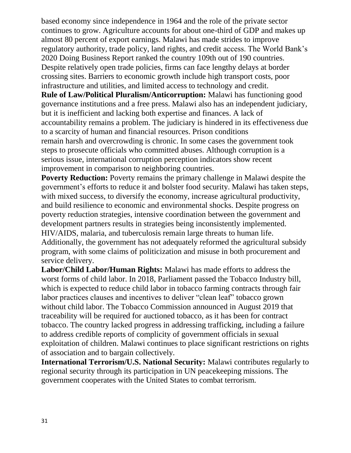based economy since independence in 1964 and the role of the private sector continues to grow. Agriculture accounts for about one-third of GDP and makes up almost 80 percent of export earnings. Malawi has made strides to improve regulatory authority, trade policy, land rights, and credit access. The World Bank's 2020 Doing Business Report ranked the country 109th out of 190 countries. Despite relatively open trade policies, firms can face lengthy delays at border crossing sites. Barriers to economic growth include high transport costs, poor infrastructure and utilities, and limited access to technology and credit.

**Rule of Law/Political Pluralism/Anticorruption:** Malawi has functioning good governance institutions and a free press. Malawi also has an independent judiciary, but it is inefficient and lacking both expertise and finances. A lack of accountability remains a problem. The judiciary is hindered in its effectiveness due to a scarcity of human and financial resources. Prison conditions remain harsh and overcrowding is chronic. In some cases the government took steps to prosecute officials who committed abuses. Although corruption is a serious issue, international corruption perception indicators show recent improvement in comparison to neighboring countries.

**Poverty Reduction:** Poverty remains the primary challenge in Malawi despite the government's efforts to reduce it and bolster food security. Malawi has taken steps, with mixed success, to diversify the economy, increase agricultural productivity, and build resilience to economic and environmental shocks. Despite progress on poverty reduction strategies, intensive coordination between the government and development partners results in strategies being inconsistently implemented. HIV/AIDS, malaria, and tuberculosis remain large threats to human life. Additionally, the government has not adequately reformed the agricultural subsidy program, with some claims of politicization and misuse in both procurement and service delivery.

**Labor/Child Labor/Human Rights:** Malawi has made efforts to address the worst forms of child labor. In 2018, Parliament passed the Tobacco Industry bill, which is expected to reduce child labor in tobacco farming contracts through fair labor practices clauses and incentives to deliver "clean leaf" tobacco grown without child labor. The Tobacco Commission announced in August 2019 that traceability will be required for auctioned tobacco, as it has been for contract tobacco. The country lacked progress in addressing trafficking, including a failure to address credible reports of complicity of government officials in sexual exploitation of children. Malawi continues to place significant restrictions on rights of association and to bargain collectively.

**International Terrorism/U.S. National Security:** Malawi contributes regularly to regional security through its participation in UN peacekeeping missions. The government cooperates with the United States to combat terrorism.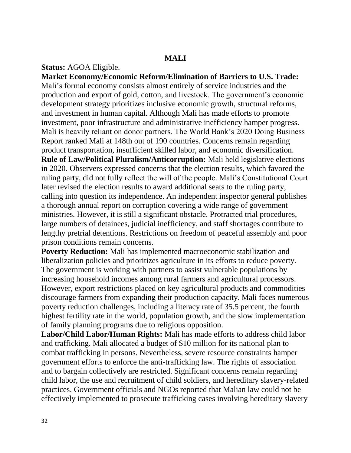## **MALI**

**Status:** AGOA Eligible.

**Market Economy/Economic Reform/Elimination of Barriers to U.S. Trade:**  Mali's formal economy consists almost entirely of service industries and the production and export of gold, cotton, and livestock. The government's economic development strategy prioritizes inclusive economic growth, structural reforms, and investment in human capital. Although Mali has made efforts to promote investment, poor infrastructure and administrative inefficiency hamper progress. Mali is heavily reliant on donor partners. The World Bank's 2020 Doing Business Report ranked Mali at 148th out of 190 countries. Concerns remain regarding product transportation, insufficient skilled labor, and economic diversification. **Rule of Law/Political Pluralism/Anticorruption:** Mali held legislative elections in 2020. Observers expressed concerns that the election results, which favored the ruling party, did not fully reflect the will of the people. Mali's Constitutional Court later revised the election results to award additional seats to the ruling party, calling into question its independence. An independent inspector general publishes a thorough annual report on corruption covering a wide range of government ministries. However, it is still a significant obstacle. Protracted trial procedures, large numbers of detainees, judicial inefficiency, and staff shortages contribute to lengthy pretrial detentions. Restrictions on freedom of peaceful assembly and poor prison conditions remain concerns.

**Poverty Reduction:** Mali has implemented macroeconomic stabilization and liberalization policies and prioritizes agriculture in its efforts to reduce poverty. The government is working with partners to assist vulnerable populations by increasing household incomes among rural farmers and agricultural processors. However, export restrictions placed on key agricultural products and commodities discourage farmers from expanding their production capacity. Mali faces numerous poverty reduction challenges, including a literacy rate of 35.5 percent, the fourth highest fertility rate in the world, population growth, and the slow implementation of family planning programs due to religious opposition.

**Labor/Child Labor/Human Rights:** Mali has made efforts to address child labor and trafficking. Mali allocated a budget of \$10 million for its national plan to combat trafficking in persons. Nevertheless, severe resource constraints hamper government efforts to enforce the anti-trafficking law. The rights of association and to bargain collectively are restricted. Significant concerns remain regarding child labor, the use and recruitment of child soldiers, and hereditary slavery-related practices. Government officials and NGOs reported that Malian law could not be effectively implemented to prosecute trafficking cases involving hereditary slavery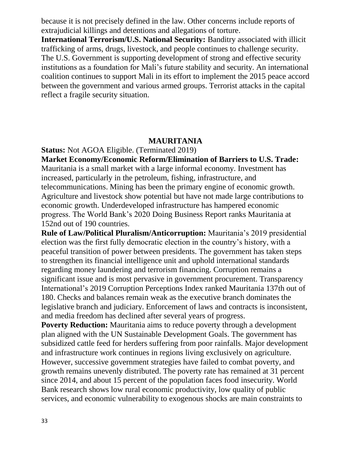because it is not precisely defined in the law. Other concerns include reports of extrajudicial killings and detentions and allegations of torture.

**International Terrorism/U.S. National Security:** Banditry associated with illicit trafficking of arms, drugs, livestock, and people continues to challenge security. The U.S. Government is supporting development of strong and effective security institutions as a foundation for Mali's future stability and security. An international coalition continues to support Mali in its effort to implement the 2015 peace accord between the government and various armed groups. Terrorist attacks in the capital reflect a fragile security situation.

## **MAURITANIA**

**Status:** Not AGOA Eligible. (Terminated 2019) **Market Economy/Economic Reform/Elimination of Barriers to U.S. Trade:**  Mauritania is a small market with a large informal economy. Investment has increased, particularly in the petroleum, fishing, infrastructure, and telecommunications. Mining has been the primary engine of economic growth. Agriculture and livestock show potential but have not made large contributions to economic growth. Underdeveloped infrastructure has hampered economic progress. The World Bank's 2020 Doing Business Report ranks Mauritania at 152nd out of 190 countries.

**Rule of Law/Political Pluralism/Anticorruption:** Mauritania's 2019 presidential election was the first fully democratic election in the country's history, with a peaceful transition of power between presidents. The government has taken steps to strengthen its financial intelligence unit and uphold international standards regarding money laundering and terrorism financing. Corruption remains a significant issue and is most pervasive in government procurement. Transparency International's 2019 Corruption Perceptions Index ranked Mauritania 137th out of 180. Checks and balances remain weak as the executive branch dominates the legislative branch and judiciary. Enforcement of laws and contracts is inconsistent, and media freedom has declined after several years of progress.

**Poverty Reduction:** Mauritania aims to reduce poverty through a development plan aligned with the UN Sustainable Development Goals. The government has subsidized cattle feed for herders suffering from poor rainfalls. Major development and infrastructure work continues in regions living exclusively on agriculture. However, successive government strategies have failed to combat poverty, and growth remains unevenly distributed. The poverty rate has remained at 31 percent since 2014, and about 15 percent of the population faces food insecurity. World Bank research shows low rural economic productivity, low quality of public services, and economic vulnerability to exogenous shocks are main constraints to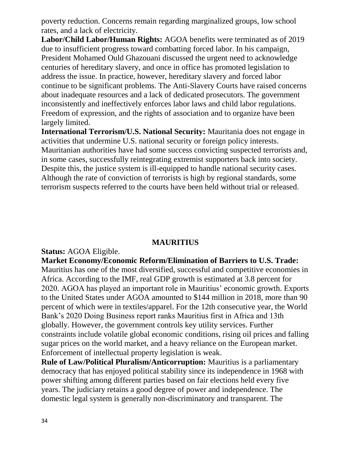poverty reduction. Concerns remain regarding marginalized groups, low school rates, and a lack of electricity.

**Labor/Child Labor/Human Rights:** AGOA benefits were terminated as of 2019 due to insufficient progress toward combatting forced labor. In his campaign, President Mohamed Ould Ghazouani discussed the urgent need to acknowledge centuries of hereditary slavery, and once in office has promoted legislation to address the issue. In practice, however, hereditary slavery and forced labor continue to be significant problems. The Anti-Slavery Courts have raised concerns about inadequate resources and a lack of dedicated prosecutors. The government inconsistently and ineffectively enforces labor laws and child labor regulations. Freedom of expression, and the rights of association and to organize have been largely limited.

**International Terrorism/U.S. National Security:** Mauritania does not engage in activities that undermine U.S. national security or foreign policy interests. Mauritanian authorities have had some success convicting suspected terrorists and, in some cases, successfully reintegrating extremist supporters back into society. Despite this, the justice system is ill-equipped to handle national security cases. Although the rate of conviction of terrorists is high by regional standards, some terrorism suspects referred to the courts have been held without trial or released.

#### **MAURITIUS**

#### **Status:** AGOA Eligible.

**Market Economy/Economic Reform/Elimination of Barriers to U.S. Trade:**  Mauritius has one of the most diversified, successful and competitive economies in Africa. According to the IMF, real GDP growth is estimated at 3.8 percent for 2020. AGOA has played an important role in Mauritius' economic growth. Exports to the United States under AGOA amounted to \$144 million in 2018, more than 90 percent of which were in textiles/apparel. For the 12th consecutive year, the World Bank's 2020 Doing Business report ranks Mauritius first in Africa and 13th globally. However, the government controls key utility services. Further constraints include volatile global economic conditions, rising oil prices and falling sugar prices on the world market, and a heavy reliance on the European market. Enforcement of intellectual property legislation is weak.

**Rule of Law/Political Pluralism/Anticorruption:** Mauritius is a parliamentary democracy that has enjoyed political stability since its independence in 1968 with power shifting among different parties based on fair elections held every five years. The judiciary retains a good degree of power and independence. The domestic legal system is generally non-discriminatory and transparent. The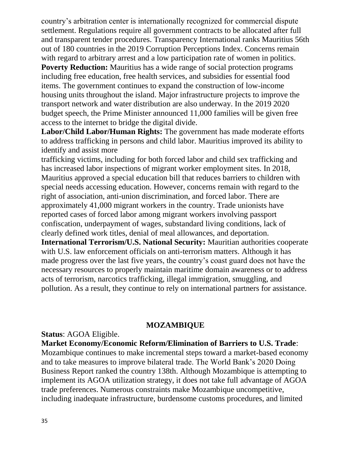country's arbitration center is internationally recognized for commercial dispute settlement. Regulations require all government contracts to be allocated after full and transparent tender procedures. Transparency International ranks Mauritius 56th out of 180 countries in the 2019 Corruption Perceptions Index. Concerns remain with regard to arbitrary arrest and a low participation rate of women in politics. **Poverty Reduction:** Mauritius has a wide range of social protection programs including free education, free health services, and subsidies for essential food items. The government continues to expand the construction of low-income housing units throughout the island. Major infrastructure projects to improve the transport network and water distribution are also underway. In the 2019 2020 budget speech, the Prime Minister announced 11,000 families will be given free access to the internet to bridge the digital divide.

**Labor/Child Labor/Human Rights:** The government has made moderate efforts to address trafficking in persons and child labor. Mauritius improved its ability to identify and assist more

trafficking victims, including for both forced labor and child sex trafficking and has increased labor inspections of migrant worker employment sites. In 2018, Mauritius approved a special education bill that reduces barriers to children with special needs accessing education. However, concerns remain with regard to the right of association, anti-union discrimination, and forced labor. There are approximately 41,000 migrant workers in the country. Trade unionists have reported cases of forced labor among migrant workers involving passport confiscation, underpayment of wages, substandard living conditions, lack of clearly defined work titles, denial of meal allowances, and deportation.

**International Terrorism/U.S. National Security:** Mauritian authorities cooperate with U.S. law enforcement officials on anti-terrorism matters. Although it has made progress over the last five years, the country's coast guard does not have the necessary resources to properly maintain maritime domain awareness or to address acts of terrorism, narcotics trafficking, illegal immigration, smuggling, and pollution. As a result, they continue to rely on international partners for assistance.

#### **MOZAMBIQUE**

#### **Status**: AGOA Eligible.

**Market Economy/Economic Reform/Elimination of Barriers to U.S. Trade**: Mozambique continues to make incremental steps toward a market-based economy and to take measures to improve bilateral trade. The World Bank's 2020 Doing Business Report ranked the country 138th. Although Mozambique is attempting to implement its AGOA utilization strategy, it does not take full advantage of AGOA trade preferences. Numerous constraints make Mozambique uncompetitive, including inadequate infrastructure, burdensome customs procedures, and limited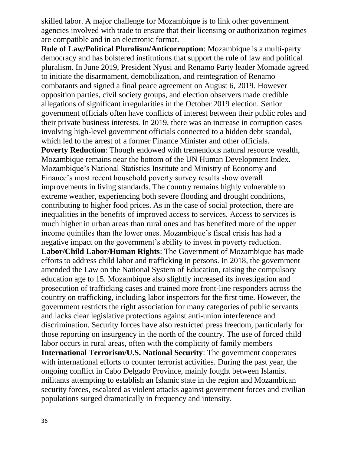skilled labor. A major challenge for Mozambique is to link other government agencies involved with trade to ensure that their licensing or authorization regimes are compatible and in an electronic format.

**Rule of Law/Political Pluralism/Anticorruption**: Mozambique is a multi-party democracy and has bolstered institutions that support the rule of law and political pluralism. In June 2019, President Nyusi and Renamo Party leader Momade agreed to initiate the disarmament, demobilization, and reintegration of Renamo combatants and signed a final peace agreement on August 6, 2019. However opposition parties, civil society groups, and election observers made credible allegations of significant irregularities in the October 2019 election. Senior government officials often have conflicts of interest between their public roles and their private business interests. In 2019, there was an increase in corruption cases involving high-level government officials connected to a hidden debt scandal, which led to the arrest of a former Finance Minister and other officials. **Poverty Reduction**: Though endowed with tremendous natural resource wealth, Mozambique remains near the bottom of the UN Human Development Index. Mozambique's National Statistics Institute and Ministry of Economy and Finance's most recent household poverty survey results show overall improvements in living standards. The country remains highly vulnerable to extreme weather, experiencing both severe flooding and drought conditions, contributing to higher food prices. As in the case of social protection, there are inequalities in the benefits of improved access to services. Access to services is much higher in urban areas than rural ones and has benefited more of the upper income quintiles than the lower ones. Mozambique's fiscal crisis has had a negative impact on the government's ability to invest in poverty reduction. **Labor/Child Labor/Human Rights**: The Government of Mozambique has made efforts to address child labor and trafficking in persons. In 2018, the government amended the Law on the National System of Education, raising the compulsory education age to 15. Mozambique also slightly increased its investigation and prosecution of trafficking cases and trained more front-line responders across the country on trafficking, including labor inspectors for the first time. However, the government restricts the right association for many categories of public servants and lacks clear legislative protections against anti-union interference and discrimination. Security forces have also restricted press freedom, particularly for those reporting on insurgency in the north of the country. The use of forced child labor occurs in rural areas, often with the complicity of family members **International Terrorism/U.S. National Security**: The government cooperates with international efforts to counter terrorist activities. During the past year, the ongoing conflict in Cabo Delgado Province, mainly fought between Islamist militants attempting to establish an Islamic state in the region and Mozambican security forces, escalated as violent attacks against government forces and civilian populations surged dramatically in frequency and intensity.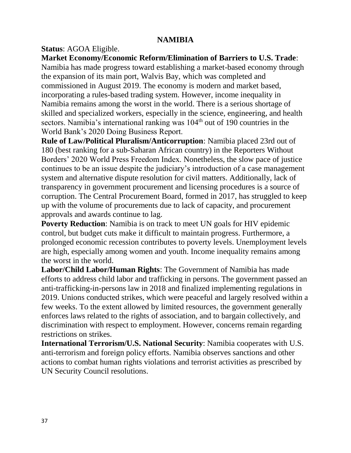# **NAMIBIA**

**Status**: AGOA Eligible.

**Market Economy/Economic Reform/Elimination of Barriers to U.S. Trade**:

Namibia has made progress toward establishing a market-based economy through the expansion of its main port, Walvis Bay, which was completed and commissioned in August 2019. The economy is modern and market based, incorporating a rules-based trading system. However, income inequality in Namibia remains among the worst in the world. There is a serious shortage of skilled and specialized workers, especially in the science, engineering, and health sectors. Namibia's international ranking was 104<sup>th</sup> out of 190 countries in the World Bank's 2020 Doing Business Report.

**Rule of Law/Political Pluralism/Anticorruption**: Namibia placed 23rd out of 180 (best ranking for a sub-Saharan African country) in the Reporters Without Borders' 2020 World Press Freedom Index. Nonetheless, the slow pace of justice continues to be an issue despite the judiciary's introduction of a case management system and alternative dispute resolution for civil matters. Additionally, lack of transparency in government procurement and licensing procedures is a source of corruption. The Central Procurement Board, formed in 2017, has struggled to keep up with the volume of procurements due to lack of capacity, and procurement approvals and awards continue to lag.

**Poverty Reduction:** Namibia is on track to meet UN goals for HIV epidemic control, but budget cuts make it difficult to maintain progress. Furthermore, a prolonged economic recession contributes to poverty levels. Unemployment levels are high, especially among women and youth. Income inequality remains among the worst in the world.

**Labor/Child Labor/Human Rights**: The Government of Namibia has made efforts to address child labor and trafficking in persons. The government passed an anti-trafficking-in-persons law in 2018 and finalized implementing regulations in 2019. Unions conducted strikes, which were peaceful and largely resolved within a few weeks. To the extent allowed by limited resources, the government generally enforces laws related to the rights of association, and to bargain collectively, and discrimination with respect to employment. However, concerns remain regarding restrictions on strikes.

**International Terrorism/U.S. National Security**: Namibia cooperates with U.S. anti-terrorism and foreign policy efforts. Namibia observes sanctions and other actions to combat human rights violations and terrorist activities as prescribed by UN Security Council resolutions.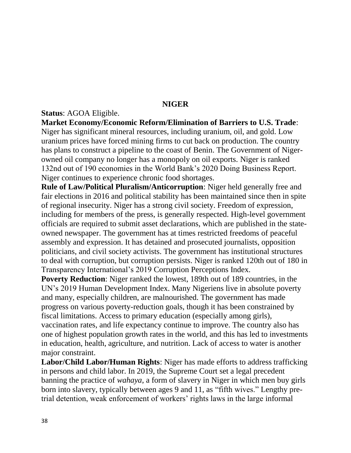#### **NIGER**

#### **Status**: AGOA Eligible.

**Market Economy/Economic Reform/Elimination of Barriers to U.S. Trade**: Niger has significant mineral resources, including uranium, oil, and gold. Low uranium prices have forced mining firms to cut back on production. The country has plans to construct a pipeline to the coast of Benin. The Government of Nigerowned oil company no longer has a monopoly on oil exports. Niger is ranked 132nd out of 190 economies in the World Bank's 2020 Doing Business Report. Niger continues to experience chronic food shortages.

**Rule of Law/Political Pluralism/Anticorruption**: Niger held generally free and fair elections in 2016 and political stability has been maintained since then in spite of regional insecurity. Niger has a strong civil society. Freedom of expression, including for members of the press, is generally respected. High-level government officials are required to submit asset declarations, which are published in the stateowned newspaper. The government has at times restricted freedoms of peaceful assembly and expression. It has detained and prosecuted journalists, opposition politicians, and civil society activists. The government has institutional structures to deal with corruption, but corruption persists. Niger is ranked 120th out of 180 in Transparency International's 2019 Corruption Perceptions Index.

**Poverty Reduction**: Niger ranked the lowest, 189th out of 189 countries, in the UN's 2019 Human Development Index. Many Nigeriens live in absolute poverty and many, especially children, are malnourished. The government has made progress on various poverty-reduction goals, though it has been constrained by fiscal limitations. Access to primary education (especially among girls), vaccination rates, and life expectancy continue to improve. The country also has one of highest population growth rates in the world, and this has led to investments in education, health, agriculture, and nutrition. Lack of access to water is another major constraint.

**Labor/Child Labor/Human Rights**: Niger has made efforts to address trafficking in persons and child labor. In 2019, the Supreme Court set a legal precedent banning the practice of *wahaya*, a form of slavery in Niger in which men buy girls born into slavery, typically between ages 9 and 11, as "fifth wives." Lengthy pretrial detention, weak enforcement of workers' rights laws in the large informal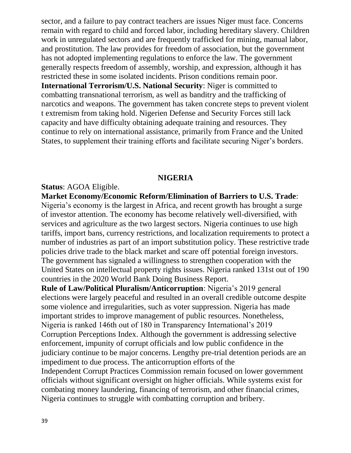sector, and a failure to pay contract teachers are issues Niger must face. Concerns remain with regard to child and forced labor, including hereditary slavery. Children work in unregulated sectors and are frequently trafficked for mining, manual labor, and prostitution. The law provides for freedom of association, but the government has not adopted implementing regulations to enforce the law. The government generally respects freedom of assembly, worship, and expression, although it has restricted these in some isolated incidents. Prison conditions remain poor. **International Terrorism/U.S. National Security**: Niger is committed to combatting transnational terrorism, as well as banditry and the trafficking of narcotics and weapons. The government has taken concrete steps to prevent violent t extremism from taking hold. Nigerien Defense and Security Forces still lack capacity and have difficulty obtaining adequate training and resources. They continue to rely on international assistance, primarily from France and the United States, to supplement their training efforts and facilitate securing Niger's borders.

#### **NIGERIA**

#### **Status**: AGOA Eligible.

**Market Economy/Economic Reform/Elimination of Barriers to U.S. Trade**: Nigeria's economy is the largest in Africa, and recent growth has brought a surge of investor attention. The economy has become relatively well-diversified, with services and agriculture as the two largest sectors. Nigeria continues to use high tariffs, import bans, currency restrictions, and localization requirements to protect a number of industries as part of an import substitution policy. These restrictive trade policies drive trade to the black market and scare off potential foreign investors. The government has signaled a willingness to strengthen cooperation with the United States on intellectual property rights issues. Nigeria ranked 131st out of 190 countries in the 2020 World Bank Doing Business Report.

**Rule of Law/Political Pluralism/Anticorruption**: Nigeria's 2019 general elections were largely peaceful and resulted in an overall credible outcome despite some violence and irregularities, such as voter suppression. Nigeria has made important strides to improve management of public resources. Nonetheless, Nigeria is ranked 146th out of 180 in Transparency International's 2019 Corruption Perceptions Index. Although the government is addressing selective enforcement, impunity of corrupt officials and low public confidence in the judiciary continue to be major concerns. Lengthy pre-trial detention periods are an impediment to due process. The anticorruption efforts of the Independent Corrupt Practices Commission remain focused on lower government officials without significant oversight on higher officials. While systems exist for combating money laundering, financing of terrorism, and other financial crimes,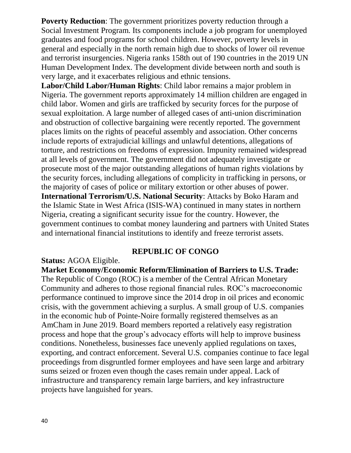**Poverty Reduction:** The government prioritizes poverty reduction through a Social Investment Program. Its components include a job program for unemployed graduates and food programs for school children. However, poverty levels in general and especially in the north remain high due to shocks of lower oil revenue and terrorist insurgencies. Nigeria ranks 158th out of 190 countries in the 2019 UN Human Development Index. The development divide between north and south is very large, and it exacerbates religious and ethnic tensions.

**Labor/Child Labor/Human Rights**: Child labor remains a major problem in Nigeria. The government reports approximately 14 million children are engaged in child labor. Women and girls are trafficked by security forces for the purpose of sexual exploitation. A large number of alleged cases of anti-union discrimination and obstruction of collective bargaining were recently reported. The government places limits on the rights of peaceful assembly and association. Other concerns include reports of extrajudicial killings and unlawful detentions, allegations of torture, and restrictions on freedoms of expression. Impunity remained widespread at all levels of government. The government did not adequately investigate or prosecute most of the major outstanding allegations of human rights violations by the security forces, including allegations of complicity in trafficking in persons, or the majority of cases of police or military extortion or other abuses of power. **International Terrorism/U.S. National Security**: Attacks by Boko Haram and the Islamic State in West Africa (ISIS-WA) continued in many states in northern Nigeria, creating a significant security issue for the country. However, the government continues to combat money laundering and partners with United States and international financial institutions to identify and freeze terrorist assets.

#### **REPUBLIC OF CONGO**

#### **Status:** AGOA Eligible.

**Market Economy/Economic Reform/Elimination of Barriers to U.S. Trade:**  The Republic of Congo (ROC) is a member of the Central African Monetary Community and adheres to those regional financial rules. ROC's macroeconomic performance continued to improve since the 2014 drop in oil prices and economic crisis, with the government achieving a surplus. A small group of U.S. companies in the economic hub of Pointe-Noire formally registered themselves as an AmCham in June 2019. Board members reported a relatively easy registration process and hope that the group's advocacy efforts will help to improve business conditions. Nonetheless, businesses face unevenly applied regulations on taxes, exporting, and contract enforcement. Several U.S. companies continue to face legal proceedings from disgruntled former employees and have seen large and arbitrary sums seized or frozen even though the cases remain under appeal. Lack of infrastructure and transparency remain large barriers, and key infrastructure projects have languished for years.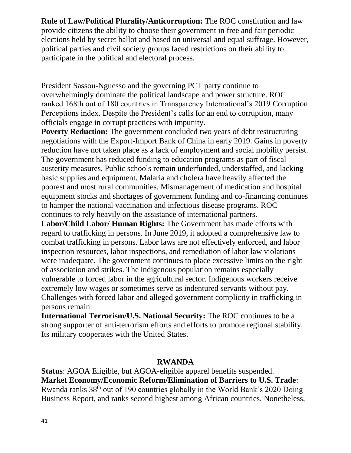**Rule of Law/Political Plurality/Anticorruption:** The ROC constitution and law provide citizens the ability to choose their government in free and fair periodic elections held by secret ballot and based on universal and equal suffrage. However, political parties and civil society groups faced restrictions on their ability to participate in the political and electoral process.

President Sassou-Nguesso and the governing PCT party continue to overwhelmingly dominate the political landscape and power structure. ROC ranked 168th out of 180 countries in Transparency International's 2019 Corruption Perceptions index. Despite the President's calls for an end to corruption, many officials engage in corrupt practices with impunity.

**Poverty Reduction:** The government concluded two years of debt restructuring negotiations with the Export-Import Bank of China in early 2019. Gains in poverty reduction have not taken place as a lack of employment and social mobility persist. The government has reduced funding to education programs as part of fiscal austerity measures. Public schools remain underfunded, understaffed, and lacking basic supplies and equipment. Malaria and cholera have heavily affected the poorest and most rural communities. Mismanagement of medication and hospital equipment stocks and shortages of government funding and co-financing continues to hamper the national vaccination and infectious disease programs. ROC continues to rely heavily on the assistance of international partners.

**Labor/Child Labor/ Human Rights:** The Government has made efforts with regard to trafficking in persons. In June 2019, it adopted a comprehensive law to combat trafficking in persons. Labor laws are not effectively enforced, and labor inspection resources, labor inspections, and remediation of labor law violations were inadequate. The government continues to place excessive limits on the right of association and strikes. The indigenous population remains especially vulnerable to forced labor in the agricultural sector. Indigenous workers receive extremely low wages or sometimes serve as indentured servants without pay. Challenges with forced labor and alleged government complicity in trafficking in persons remain.

**International Terrorism/U.S. National Security:** The ROC continues to be a strong supporter of anti-terrorism efforts and efforts to promote regional stability. Its military cooperates with the United States.

## **RWANDA**

**Status**: AGOA Eligible, but AGOA-eligible apparel benefits suspended. **Market Economy/Economic Reform/Elimination of Barriers to U.S. Trade**: Rwanda ranks 38<sup>th</sup> out of 190 countries globally in the World Bank's 2020 Doing Business Report, and ranks second highest among African countries. Nonetheless,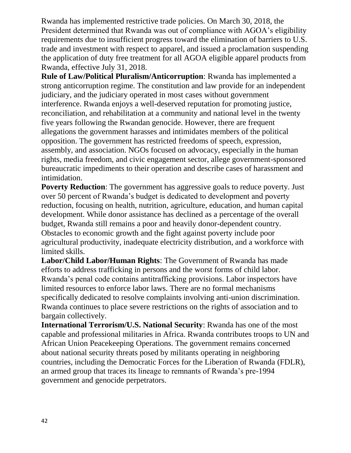Rwanda has implemented restrictive trade policies. On March 30, 2018, the President determined that Rwanda was out of compliance with AGOA's eligibility requirements due to insufficient progress toward the elimination of barriers to U.S. trade and investment with respect to apparel, and issued a proclamation suspending the application of duty free treatment for all AGOA eligible apparel products from Rwanda, effective July 31, 2018.

**Rule of Law/Political Pluralism/Anticorruption**: Rwanda has implemented a strong anticorruption regime. The constitution and law provide for an independent judiciary, and the judiciary operated in most cases without government interference. Rwanda enjoys a well-deserved reputation for promoting justice, reconciliation, and rehabilitation at a community and national level in the twenty five years following the Rwandan genocide. However, there are frequent allegations the government harasses and intimidates members of the political opposition. The government has restricted freedoms of speech, expression, assembly, and association. NGOs focused on advocacy, especially in the human rights, media freedom, and civic engagement sector, allege government-sponsored bureaucratic impediments to their operation and describe cases of harassment and intimidation.

**Poverty Reduction**: The government has aggressive goals to reduce poverty. Just over 50 percent of Rwanda's budget is dedicated to development and poverty reduction, focusing on health, nutrition, agriculture, education, and human capital development. While donor assistance has declined as a percentage of the overall budget, Rwanda still remains a poor and heavily donor-dependent country. Obstacles to economic growth and the fight against poverty include poor agricultural productivity, inadequate electricity distribution, and a workforce with limited skills.

**Labor/Child Labor/Human Rights**: The Government of Rwanda has made efforts to address trafficking in persons and the worst forms of child labor. Rwanda's penal code contains antitrafficking provisions. Labor inspectors have limited resources to enforce labor laws. There are no formal mechanisms specifically dedicated to resolve complaints involving anti-union discrimination. Rwanda continues to place severe restrictions on the rights of association and to bargain collectively.

**International Terrorism/U.S. National Security**: Rwanda has one of the most capable and professional militaries in Africa. Rwanda contributes troops to UN and African Union Peacekeeping Operations. The government remains concerned about national security threats posed by militants operating in neighboring countries, including the Democratic Forces for the Liberation of Rwanda (FDLR), an armed group that traces its lineage to remnants of Rwanda's pre-1994 government and genocide perpetrators.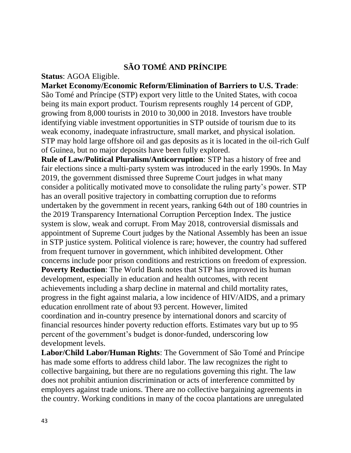# **SÃO TOMÉ AND PRÍNCIPE**

## **Status**: AGOA Eligible.

**Market Economy/Economic Reform/Elimination of Barriers to U.S. Trade**: São Tomé and Príncipe (STP) export very little to the United States, with cocoa being its main export product. Tourism represents roughly 14 percent of GDP, growing from 8,000 tourists in 2010 to 30,000 in 2018. Investors have trouble identifying viable investment opportunities in STP outside of tourism due to its weak economy, inadequate infrastructure, small market, and physical isolation. STP may hold large offshore oil and gas deposits as it is located in the oil-rich Gulf of Guinea, but no major deposits have been fully explored.

**Rule of Law/Political Pluralism/Anticorruption**: STP has a history of free and fair elections since a multi-party system was introduced in the early 1990s. In May 2019, the government dismissed three Supreme Court judges in what many consider a politically motivated move to consolidate the ruling party's power. STP has an overall positive trajectory in combatting corruption due to reforms undertaken by the government in recent years, ranking 64th out of 180 countries in the 2019 Transparency International Corruption Perception Index. The justice system is slow, weak and corrupt. From May 2018, controversial dismissals and appointment of Supreme Court judges by the National Assembly has been an issue in STP justice system. Political violence is rare; however, the country had suffered from frequent turnover in government, which inhibited development. Other concerns include poor prison conditions and restrictions on freedom of expression. **Poverty Reduction**: The World Bank notes that STP has improved its human development, especially in education and health outcomes, with recent achievements including a sharp decline in maternal and child mortality rates, progress in the fight against malaria, a low incidence of HIV/AIDS, and a primary education enrollment rate of about 93 percent. However, limited coordination and in-country presence by international donors and scarcity of financial resources hinder poverty reduction efforts. Estimates vary but up to 95 percent of the government's budget is donor-funded, underscoring low development levels.

**Labor/Child Labor/Human Rights**: The Government of São Tomé and Príncipe has made some efforts to address child labor. The law recognizes the right to collective bargaining, but there are no regulations governing this right. The law does not prohibit antiunion discrimination or acts of interference committed by employers against trade unions. There are no collective bargaining agreements in the country. Working conditions in many of the cocoa plantations are unregulated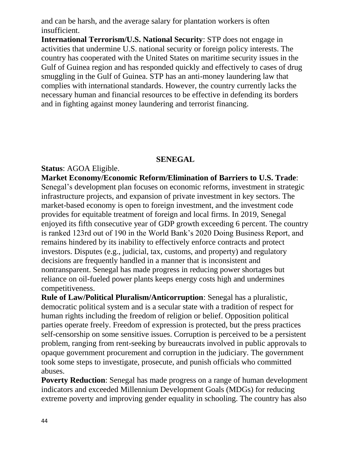and can be harsh, and the average salary for plantation workers is often insufficient.

**International Terrorism/U.S. National Security**: STP does not engage in activities that undermine U.S. national security or foreign policy interests. The country has cooperated with the United States on maritime security issues in the Gulf of Guinea region and has responded quickly and effectively to cases of drug smuggling in the Gulf of Guinea. STP has an anti-money laundering law that complies with international standards. However, the country currently lacks the necessary human and financial resources to be effective in defending its borders and in fighting against money laundering and terrorist financing.

# **SENEGAL**

**Status**: AGOA Eligible.

**Market Economy/Economic Reform/Elimination of Barriers to U.S. Trade**: Senegal's development plan focuses on economic reforms, investment in strategic infrastructure projects, and expansion of private investment in key sectors. The market-based economy is open to foreign investment, and the investment code provides for equitable treatment of foreign and local firms. In 2019, Senegal enjoyed its fifth consecutive year of GDP growth exceeding 6 percent. The country is ranked 123rd out of 190 in the World Bank's 2020 Doing Business Report, and remains hindered by its inability to effectively enforce contracts and protect investors. Disputes (e.g., judicial, tax, customs, and property) and regulatory decisions are frequently handled in a manner that is inconsistent and nontransparent. Senegal has made progress in reducing power shortages but reliance on oil-fueled power plants keeps energy costs high and undermines competitiveness.

**Rule of Law/Political Pluralism/Anticorruption**: Senegal has a pluralistic, democratic political system and is a secular state with a tradition of respect for human rights including the freedom of religion or belief. Opposition political parties operate freely. Freedom of expression is protected, but the press practices self-censorship on some sensitive issues. Corruption is perceived to be a persistent problem, ranging from rent-seeking by bureaucrats involved in public approvals to opaque government procurement and corruption in the judiciary. The government took some steps to investigate, prosecute, and punish officials who committed abuses.

**Poverty Reduction:** Senegal has made progress on a range of human development indicators and exceeded Millennium Development Goals (MDGs) for reducing extreme poverty and improving gender equality in schooling. The country has also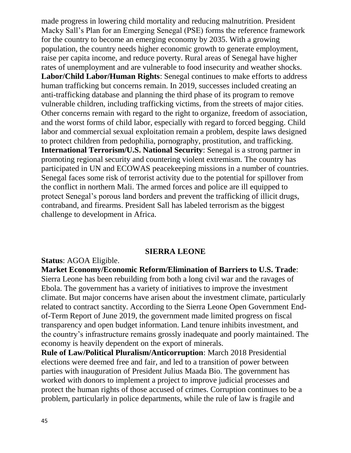made progress in lowering child mortality and reducing malnutrition. President Macky Sall's Plan for an Emerging Senegal (PSE) forms the reference framework for the country to become an emerging economy by 2035. With a growing population, the country needs higher economic growth to generate employment, raise per capita income, and reduce poverty. Rural areas of Senegal have higher rates of unemployment and are vulnerable to food insecurity and weather shocks. **Labor/Child Labor/Human Rights**: Senegal continues to make efforts to address human trafficking but concerns remain. In 2019, successes included creating an anti-trafficking database and planning the third phase of its program to remove vulnerable children, including trafficking victims, from the streets of major cities. Other concerns remain with regard to the right to organize, freedom of association, and the worst forms of child labor, especially with regard to forced begging. Child labor and commercial sexual exploitation remain a problem, despite laws designed to protect children from pedophilia, pornography, prostitution, and trafficking. **International Terrorism/U.S. National Security**: Senegal is a strong partner in promoting regional security and countering violent extremism. The country has participated in UN and ECOWAS peacekeeping missions in a number of countries. Senegal faces some risk of terrorist activity due to the potential for spillover from the conflict in northern Mali. The armed forces and police are ill equipped to protect Senegal's porous land borders and prevent the trafficking of illicit drugs, contraband, and firearms. President Sall has labeled terrorism as the biggest challenge to development in Africa.

#### **SIERRA LEONE**

#### **Status**: AGOA Eligible.

**Market Economy/Economic Reform/Elimination of Barriers to U.S. Trade**: Sierra Leone has been rebuilding from both a long civil war and the ravages of Ebola. The government has a variety of initiatives to improve the investment climate. But major concerns have arisen about the investment climate, particularly related to contract sanctity. According to the Sierra Leone Open Government Endof-Term Report of June 2019, the government made limited progress on fiscal transparency and open budget information. Land tenure inhibits investment, and the country's infrastructure remains grossly inadequate and poorly maintained. The economy is heavily dependent on the export of minerals.

**Rule of Law/Political Pluralism/Anticorruption**: March 2018 Presidential elections were deemed free and fair, and led to a transition of power between parties with inauguration of President Julius Maada Bio. The government has worked with donors to implement a project to improve judicial processes and protect the human rights of those accused of crimes. Corruption continues to be a problem, particularly in police departments, while the rule of law is fragile and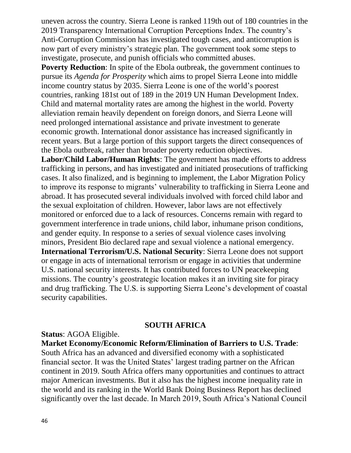uneven across the country. Sierra Leone is ranked 119th out of 180 countries in the 2019 Transparency International Corruption Perceptions Index. The country's Anti-Corruption Commission has investigated tough cases, and anticorruption is now part of every ministry's strategic plan. The government took some steps to investigate, prosecute, and punish officials who committed abuses.

**Poverty Reduction:** In spite of the Ebola outbreak, the government continues to pursue its *Agenda for Prosperity* which aims to propel Sierra Leone into middle income country status by 2035. Sierra Leone is one of the world's poorest countries, ranking 181st out of 189 in the 2019 UN Human Development Index. Child and maternal mortality rates are among the highest in the world. Poverty alleviation remain heavily dependent on foreign donors, and Sierra Leone will need prolonged international assistance and private investment to generate economic growth. International donor assistance has increased significantly in recent years. But a large portion of this support targets the direct consequences of the Ebola outbreak, rather than broader poverty reduction objectives.

**Labor/Child Labor/Human Rights**: The government has made efforts to address trafficking in persons, and has investigated and initiated prosecutions of trafficking cases. It also finalized, and is beginning to implement, the Labor Migration Policy to improve its response to migrants' vulnerability to trafficking in Sierra Leone and abroad. It has prosecuted several individuals involved with forced child labor and the sexual exploitation of children. However, labor laws are not effectively monitored or enforced due to a lack of resources. Concerns remain with regard to government interference in trade unions, child labor, inhumane prison conditions, and gender equity. In response to a series of sexual violence cases involving minors, President Bio declared rape and sexual violence a national emergency. **International Terrorism/U.S. National Security**: Sierra Leone does not support or engage in acts of international terrorism or engage in activities that undermine U.S. national security interests. It has contributed forces to UN peacekeeping missions. The country's geostrategic location makes it an inviting site for piracy and drug trafficking. The U.S. is supporting Sierra Leone's development of coastal security capabilities.

#### **SOUTH AFRICA**

#### **Status**: AGOA Eligible.

**Market Economy/Economic Reform/Elimination of Barriers to U.S. Trade**: South Africa has an advanced and diversified economy with a sophisticated financial sector. It was the United States' largest trading partner on the African continent in 2019. South Africa offers many opportunities and continues to attract major American investments. But it also has the highest income inequality rate in the world and its ranking in the World Bank Doing Business Report has declined significantly over the last decade. In March 2019, South Africa's National Council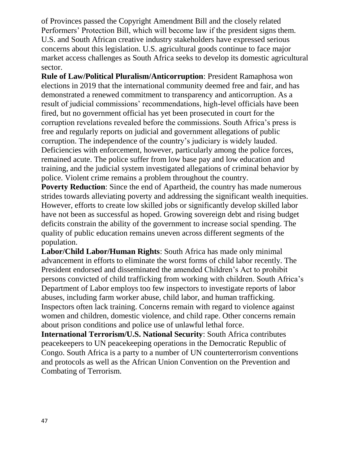of Provinces passed the Copyright Amendment Bill and the closely related Performers' Protection Bill, which will become law if the president signs them. U.S. and South African creative industry stakeholders have expressed serious concerns about this legislation. U.S. agricultural goods continue to face major market access challenges as South Africa seeks to develop its domestic agricultural sector.

**Rule of Law/Political Pluralism/Anticorruption**: President Ramaphosa won elections in 2019 that the international community deemed free and fair, and has demonstrated a renewed commitment to transparency and anticorruption. As a result of judicial commissions' recommendations, high-level officials have been fired, but no government official has yet been prosecuted in court for the corruption revelations revealed before the commissions. South Africa's press is free and regularly reports on judicial and government allegations of public corruption. The independence of the country's judiciary is widely lauded. Deficiencies with enforcement, however, particularly among the police forces, remained acute. The police suffer from low base pay and low education and training, and the judicial system investigated allegations of criminal behavior by police. Violent crime remains a problem throughout the country.

**Poverty Reduction**: Since the end of Apartheid, the country has made numerous strides towards alleviating poverty and addressing the significant wealth inequities. However, efforts to create low skilled jobs or significantly develop skilled labor have not been as successful as hoped. Growing sovereign debt and rising budget deficits constrain the ability of the government to increase social spending. The quality of public education remains uneven across different segments of the population.

**Labor/Child Labor/Human Rights**: South Africa has made only minimal advancement in efforts to eliminate the worst forms of child labor recently. The President endorsed and disseminated the amended Children's Act to prohibit persons convicted of child trafficking from working with children. South Africa's Department of Labor employs too few inspectors to investigate reports of labor abuses, including farm worker abuse, child labor, and human trafficking. Inspectors often lack training. Concerns remain with regard to violence against women and children, domestic violence, and child rape. Other concerns remain about prison conditions and police use of unlawful lethal force.

**International Terrorism/U.S. National Security**: South Africa contributes peacekeepers to UN peacekeeping operations in the Democratic Republic of Congo. South Africa is a party to a number of UN counterterrorism conventions and protocols as well as the African Union Convention on the Prevention and Combating of Terrorism.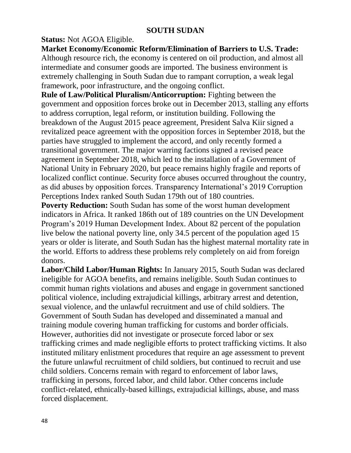## **SOUTH SUDAN**

# **Status:** Not AGOA Eligible.

**Market Economy/Economic Reform/Elimination of Barriers to U.S. Trade:**  Although resource rich, the economy is centered on oil production, and almost all intermediate and consumer goods are imported. The business environment is extremely challenging in South Sudan due to rampant corruption, a weak legal framework, poor infrastructure, and the ongoing conflict.

**Rule of Law/Political Pluralism/Anticorruption:** Fighting between the government and opposition forces broke out in December 2013, stalling any efforts to address corruption, legal reform, or institution building. Following the breakdown of the August 2015 peace agreement, President Salva Kiir signed a revitalized peace agreement with the opposition forces in September 2018, but the parties have struggled to implement the accord, and only recently formed a transitional government. The major warring factions signed a revised peace agreement in September 2018, which led to the installation of a Government of National Unity in February 2020, but peace remains highly fragile and reports of localized conflict continue. Security force abuses occurred throughout the country, as did abuses by opposition forces. Transparency International's 2019 Corruption Perceptions Index ranked South Sudan 179th out of 180 countries.

**Poverty Reduction:** South Sudan has some of the worst human development indicators in Africa. It ranked 186th out of 189 countries on the UN Development Program's 2019 Human Development Index. About 82 percent of the population live below the national poverty line, only 34.5 percent of the population aged 15 years or older is literate, and South Sudan has the highest maternal mortality rate in the world. Efforts to address these problems rely completely on aid from foreign donors.

**Labor/Child Labor/Human Rights:** In January 2015, South Sudan was declared ineligible for AGOA benefits, and remains ineligible. South Sudan continues to commit human rights violations and abuses and engage in government sanctioned political violence, including extrajudicial killings, arbitrary arrest and detention, sexual violence, and the unlawful recruitment and use of child soldiers. The Government of South Sudan has developed and disseminated a manual and training module covering human trafficking for customs and border officials. However, authorities did not investigate or prosecute forced labor or sex trafficking crimes and made negligible efforts to protect trafficking victims. It also instituted military enlistment procedures that require an age assessment to prevent the future unlawful recruitment of child soldiers, but continued to recruit and use child soldiers. Concerns remain with regard to enforcement of labor laws, trafficking in persons, forced labor, and child labor. Other concerns include conflict-related, ethnically-based killings, extrajudicial killings, abuse, and mass forced displacement.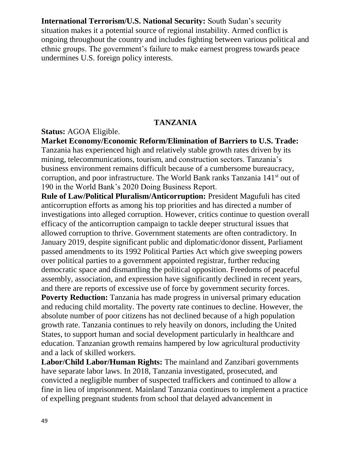**International Terrorism/U.S. National Security:** South Sudan's security situation makes it a potential source of regional instability. Armed conflict is ongoing throughout the country and includes fighting between various political and ethnic groups. The government's failure to make earnest progress towards peace undermines U.S. foreign policy interests.

#### **TANZANIA**

**Status:** AGOA Eligible.

**Market Economy/Economic Reform/Elimination of Barriers to U.S. Trade:**  Tanzania has experienced high and relatively stable growth rates driven by its mining, telecommunications, tourism, and construction sectors. Tanzania's business environment remains difficult because of a cumbersome bureaucracy, corruption, and poor infrastructure. The World Bank ranks Tanzania 141st out of 190 in the World Bank's 2020 Doing Business Report.

**Rule of Law/Political Pluralism/Anticorruption:** President Magufuli has cited anticorruption efforts as among his top priorities and has directed a number of investigations into alleged corruption. However, critics continue to question overall efficacy of the anticorruption campaign to tackle deeper structural issues that allowed corruption to thrive. Government statements are often contradictory. In January 2019, despite significant public and diplomatic/donor dissent, Parliament passed amendments to its 1992 Political Parties Act which give sweeping powers over political parties to a government appointed registrar, further reducing democratic space and dismantling the political opposition. Freedoms of peaceful assembly, association, and expression have significantly declined in recent years, and there are reports of excessive use of force by government security forces.

**Poverty Reduction:** Tanzania has made progress in universal primary education and reducing child mortality. The poverty rate continues to decline. However, the absolute number of poor citizens has not declined because of a high population growth rate. Tanzania continues to rely heavily on donors, including the United States, to support human and social development particularly in healthcare and education. Tanzanian growth remains hampered by low agricultural productivity and a lack of skilled workers.

**Labor/Child Labor/Human Rights:** The mainland and Zanzibari governments have separate labor laws. In 2018, Tanzania investigated, prosecuted, and convicted a negligible number of suspected traffickers and continued to allow a fine in lieu of imprisonment. Mainland Tanzania continues to implement a practice of expelling pregnant students from school that delayed advancement in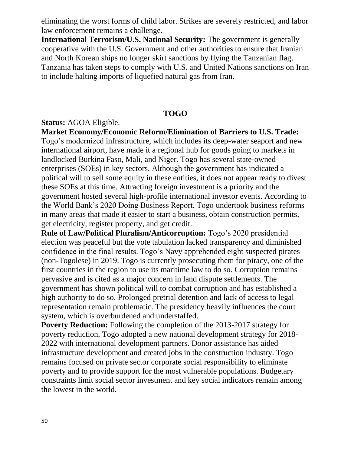eliminating the worst forms of child labor. Strikes are severely restricted, and labor law enforcement remains a challenge.

**International Terrorism/U.S. National Security:** The government is generally cooperative with the U.S. Government and other authorities to ensure that Iranian and North Korean ships no longer skirt sanctions by flying the Tanzanian flag. Tanzania has taken steps to comply with U.S. and United Nations sanctions on Iran to include halting imports of liquefied natural gas from Iran.

# **TOGO**

#### **Status:** AGOA Eligible.

**Market Economy/Economic Reform/Elimination of Barriers to U.S. Trade:**  Togo's modernized infrastructure, which includes its deep-water seaport and new international airport, have made it a regional hub for goods going to markets in landlocked Burkina Faso, Mali, and Niger. Togo has several state-owned enterprises (SOEs) in key sectors. Although the government has indicated a political will to sell some equity in these entities, it does not appear ready to divest these SOEs at this time. Attracting foreign investment is a priority and the government hosted several high-profile international investor events. According to the World Bank's 2020 Doing Business Report, Togo undertook business reforms in many areas that made it easier to start a business, obtain construction permits, get electricity, register property, and get credit.

**Rule of Law/Political Pluralism/Anticorruption:** Togo's 2020 presidential election was peaceful but the vote tabulation lacked transparency and diminished confidence in the final results. Togo's Navy apprehended eight suspected pirates (non-Togolese) in 2019. Togo is currently prosecuting them for piracy, one of the first countries in the region to use its maritime law to do so. Corruption remains pervasive and is cited as a major concern in land dispute settlements. The government has shown political will to combat corruption and has established a high authority to do so. Prolonged pretrial detention and lack of access to legal representation remain problematic. The presidency heavily influences the court system, which is overburdened and understaffed.

**Poverty Reduction:** Following the completion of the 2013-2017 strategy for poverty reduction, Togo adopted a new national development strategy for 2018- 2022 with international development partners. Donor assistance has aided infrastructure development and created jobs in the construction industry. Togo remains focused on private sector corporate social responsibility to eliminate poverty and to provide support for the most vulnerable populations. Budgetary constraints limit social sector investment and key social indicators remain among the lowest in the world.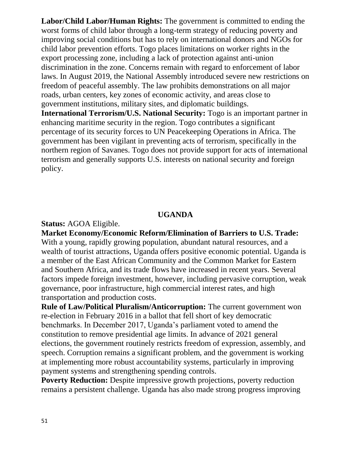**Labor/Child Labor/Human Rights:** The government is committed to ending the worst forms of child labor through a long-term strategy of reducing poverty and improving social conditions but has to rely on international donors and NGOs for child labor prevention efforts. Togo places limitations on worker rights in the export processing zone, including a lack of protection against anti-union discrimination in the zone. Concerns remain with regard to enforcement of labor laws. In August 2019, the National Assembly introduced severe new restrictions on freedom of peaceful assembly. The law prohibits demonstrations on all major roads, urban centers, key zones of economic activity, and areas close to government institutions, military sites, and diplomatic buildings. **International Terrorism/U.S. National Security:** Togo is an important partner in enhancing maritime security in the region. Togo contributes a significant percentage of its security forces to UN Peacekeeping Operations in Africa. The government has been vigilant in preventing acts of terrorism, specifically in the northern region of Savanes. Togo does not provide support for acts of international terrorism and generally supports U.S. interests on national security and foreign policy.

#### **UGANDA**

#### **Status:** AGOA Eligible.

**Market Economy/Economic Reform/Elimination of Barriers to U.S. Trade:**  With a young, rapidly growing population, abundant natural resources, and a wealth of tourist attractions, Uganda offers positive economic potential. Uganda is a member of the East African Community and the Common Market for Eastern and Southern Africa, and its trade flows have increased in recent years. Several factors impede foreign investment, however, including pervasive corruption, weak governance, poor infrastructure, high commercial interest rates, and high transportation and production costs.

**Rule of Law/Political Pluralism/Anticorruption:** The current government won re-election in February 2016 in a ballot that fell short of key democratic benchmarks. In December 2017, Uganda's parliament voted to amend the constitution to remove presidential age limits. In advance of 2021 general elections, the government routinely restricts freedom of expression, assembly, and speech. Corruption remains a significant problem, and the government is working at implementing more robust accountability systems, particularly in improving payment systems and strengthening spending controls.

**Poverty Reduction:** Despite impressive growth projections, poverty reduction remains a persistent challenge. Uganda has also made strong progress improving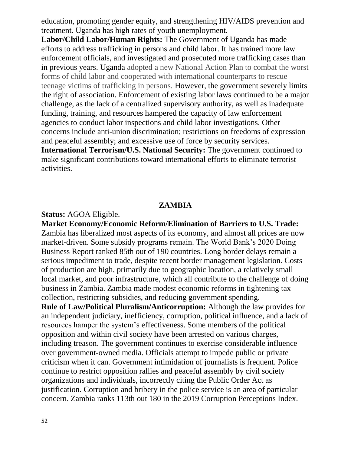education, promoting gender equity, and strengthening HIV/AIDS prevention and treatment. Uganda has high rates of youth unemployment.

**Labor/Child Labor/Human Rights:** The Government of Uganda has made efforts to address trafficking in persons and child labor. It has trained more law enforcement officials, and investigated and prosecuted more trafficking cases than in previous years. Uganda adopted a new National Action Plan to combat the worst forms of child labor and cooperated with international counterparts to rescue teenage victims of trafficking in persons. However, the government severely limits the right of association. Enforcement of existing labor laws continued to be a major challenge, as the lack of a centralized supervisory authority, as well as inadequate funding, training, and resources hampered the capacity of law enforcement agencies to conduct labor inspections and child labor investigations. Other concerns include anti-union discrimination; restrictions on freedoms of expression and peaceful assembly; and excessive use of force by security services. **International Terrorism/U.S. National Security:** The government continued to make significant contributions toward international efforts to eliminate terrorist activities.

#### **ZAMBIA**

#### **Status:** AGOA Eligible.

**Market Economy/Economic Reform/Elimination of Barriers to U.S. Trade:**  Zambia has liberalized most aspects of its economy, and almost all prices are now market-driven. Some subsidy programs remain. The World Bank's 2020 Doing Business Report ranked 85th out of 190 countries. Long border delays remain a serious impediment to trade, despite recent border management legislation. Costs of production are high, primarily due to geographic location, a relatively small local market, and poor infrastructure, which all contribute to the challenge of doing business in Zambia. Zambia made modest economic reforms in tightening tax collection, restricting subsidies, and reducing government spending. **Rule of Law/Political Pluralism/Anticorruption:** Although the law provides for an independent judiciary, inefficiency, corruption, political influence, and a lack of resources hamper the system's effectiveness. Some members of the political opposition and within civil society have been arrested on various charges, including treason. The government continues to exercise considerable influence over government-owned media. Officials attempt to impede public or private criticism when it can. Government intimidation of journalists is frequent. Police continue to restrict opposition rallies and peaceful assembly by civil society organizations and individuals, incorrectly citing the Public Order Act as justification. Corruption and bribery in the police service is an area of particular concern. Zambia ranks 113th out 180 in the 2019 Corruption Perceptions Index.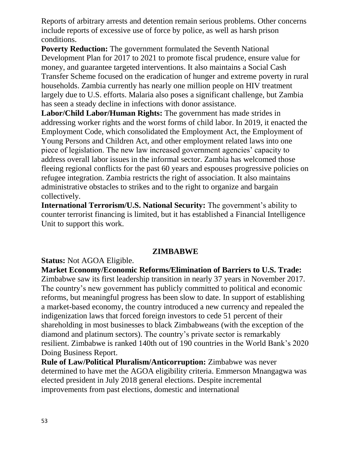Reports of arbitrary arrests and detention remain serious problems. Other concerns include reports of excessive use of force by police, as well as harsh prison conditions.

**Poverty Reduction:** The government formulated the Seventh National Development Plan for 2017 to 2021 to promote fiscal prudence, ensure value for money, and guarantee targeted interventions. It also maintains a Social Cash Transfer Scheme focused on the eradication of hunger and extreme poverty in rural households. Zambia currently has nearly one million people on HIV treatment largely due to U.S. efforts. Malaria also poses a significant challenge, but Zambia has seen a steady decline in infections with donor assistance.

**Labor/Child Labor/Human Rights:** The government has made strides in addressing worker rights and the worst forms of child labor. In 2019, it enacted the Employment Code, which consolidated the Employment Act, the Employment of Young Persons and Children Act, and other employment related laws into one piece of legislation. The new law increased government agencies' capacity to address overall labor issues in the informal sector. Zambia has welcomed those fleeing regional conflicts for the past 60 years and espouses progressive policies on refugee integration. Zambia restricts the right of association. It also maintains administrative obstacles to strikes and to the right to organize and bargain collectively.

**International Terrorism/U.S. National Security:** The government's ability to counter terrorist financing is limited, but it has established a Financial Intelligence Unit to support this work.

## **ZIMBABWE**

## **Status:** Not AGOA Eligible.

**Market Economy/Economic Reforms/Elimination of Barriers to U.S. Trade:**  Zimbabwe saw its first leadership transition in nearly 37 years in November 2017. The country's new government has publicly committed to political and economic reforms, but meaningful progress has been slow to date. In support of establishing a market-based economy, the country introduced a new currency and repealed the indigenization laws that forced foreign investors to cede 51 percent of their shareholding in most businesses to black Zimbabweans (with the exception of the diamond and platinum sectors). The country's private sector is remarkably resilient. Zimbabwe is ranked 140th out of 190 countries in the World Bank's 2020 Doing Business Report.

**Rule of Law/Political Pluralism/Anticorruption:** Zimbabwe was never determined to have met the AGOA eligibility criteria. Emmerson Mnangagwa was elected president in July 2018 general elections. Despite incremental improvements from past elections, domestic and international